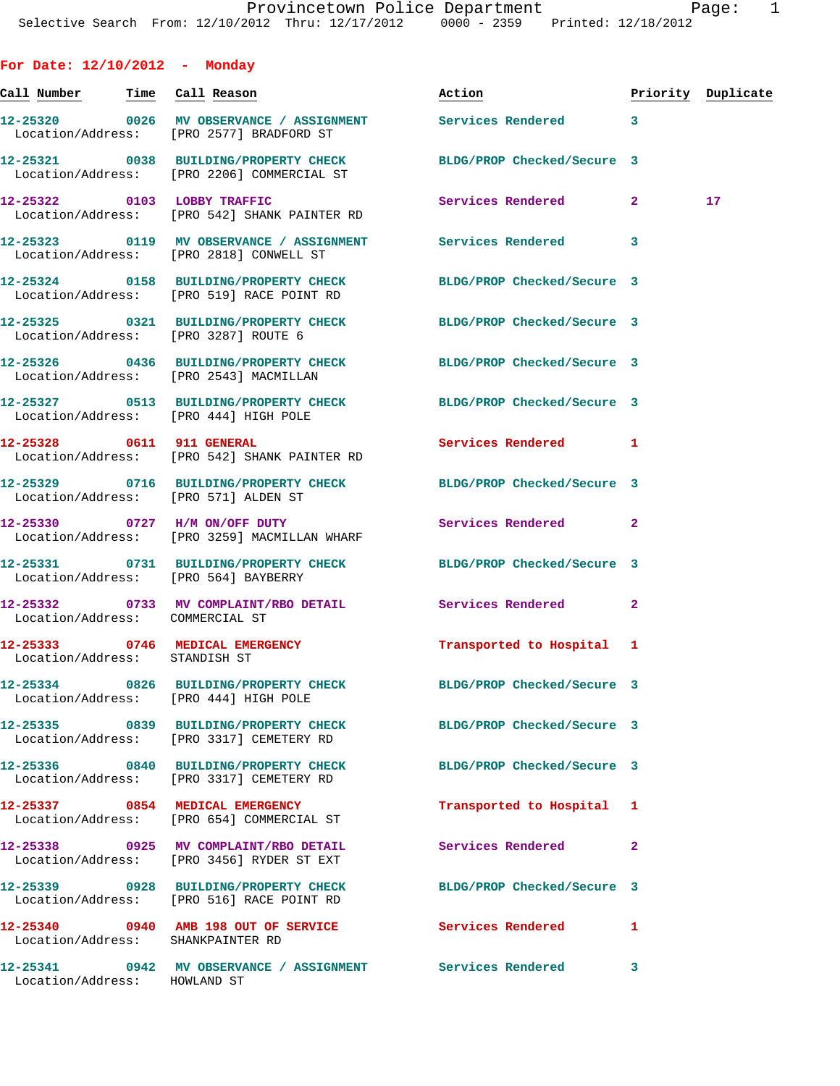| For Date: $12/10/2012$ - Monday   |                                                                                                                |                            |                         |    |
|-----------------------------------|----------------------------------------------------------------------------------------------------------------|----------------------------|-------------------------|----|
| Call Number - Time Call Reason    |                                                                                                                | Action                     | Priority Duplicate      |    |
|                                   | 12-25320 0026 MV OBSERVANCE / ASSIGNMENT Services Rendered 3<br>Location/Address: [PRO 2577] BRADFORD ST       |                            |                         |    |
|                                   | 12-25321 0038 BUILDING/PROPERTY CHECK BLDG/PROP Checked/Secure 3<br>Location/Address: [PRO 2206] COMMERCIAL ST |                            |                         |    |
|                                   | 12-25322 0103 LOBBY TRAFFIC<br>Location/Address: [PRO 542] SHANK PAINTER RD                                    | Services Rendered 2        |                         | 17 |
|                                   | 12-25323 0119 MV OBSERVANCE / ASSIGNMENT Services Rendered<br>Location/Address: [PRO 2818] CONWELL ST          |                            | 3                       |    |
|                                   | 12-25324 0158 BUILDING/PROPERTY CHECK BLDG/PROP Checked/Secure 3<br>Location/Address: [PRO 519] RACE POINT RD  |                            |                         |    |
|                                   | 12-25325 0321 BUILDING/PROPERTY CHECK BLDG/PROP Checked/Secure 3<br>Location/Address: [PRO 3287] ROUTE 6       |                            |                         |    |
|                                   | 12-25326 0436 BUILDING/PROPERTY CHECK BLDG/PROP Checked/Secure 3<br>Location/Address: [PRO 2543] MACMILLAN     |                            |                         |    |
|                                   | 12-25327 0513 BUILDING/PROPERTY CHECK BLDG/PROP Checked/Secure 3<br>Location/Address: [PRO 444] HIGH POLE      |                            |                         |    |
| 12-25328 0611 911 GENERAL         | Location/Address: [PRO 542] SHANK PAINTER RD                                                                   | Services Rendered          | 1                       |    |
|                                   | 12-25329 0716 BUILDING/PROPERTY CHECK BLDG/PROP Checked/Secure 3<br>Location/Address: [PRO 571] ALDEN ST       |                            |                         |    |
|                                   | 12-25330 0727 H/M ON/OFF DUTY<br>Location/Address: [PRO 3259] MACMILLAN WHARF                                  | Services Rendered          | $\overline{a}$          |    |
|                                   | 12-25331 0731 BUILDING/PROPERTY CHECK BLDG/PROP Checked/Secure 3<br>Location/Address: [PRO 564] BAYBERRY       |                            |                         |    |
| Location/Address: COMMERCIAL ST   | 12-25332 0733 MV COMPLAINT/RBO DETAIL Services Rendered                                                        |                            | $\mathbf{2}$            |    |
| Location/Address: STANDISH ST     | 12-25333 0746 MEDICAL EMERGENCY                                                                                | Transported to Hospital 1  |                         |    |
|                                   | 12-25334 0826 BUILDING/PROPERTY CHECK BLDG/PROP Checked/Secure 3<br>Location/Address: [PRO 444] HIGH POLE      |                            |                         |    |
|                                   | 12-25335 0839 BUILDING/PROPERTY CHECK<br>Location/Address: [PRO 3317] CEMETERY RD                              | BLDG/PROP Checked/Secure 3 |                         |    |
|                                   | 12-25336 0840 BUILDING/PROPERTY CHECK<br>Location/Address: [PRO 3317] CEMETERY RD                              | BLDG/PROP Checked/Secure 3 |                         |    |
|                                   | 12-25337 0854 MEDICAL EMERGENCY<br>Location/Address: [PRO 654] COMMERCIAL ST                                   | Transported to Hospital 1  |                         |    |
|                                   | 12-25338 0925 MV COMPLAINT/RBO DETAIL<br>Location/Address: [PRO 3456] RYDER ST EXT                             | Services Rendered          | $\overline{\mathbf{2}}$ |    |
|                                   | 12-25339 0928 BUILDING/PROPERTY CHECK BLDG/PROP Checked/Secure 3<br>Location/Address: [PRO 516] RACE POINT RD  |                            |                         |    |
| Location/Address: SHANKPAINTER RD | 12-25340 0940 AMB 198 OUT OF SERVICE Services Rendered                                                         |                            | 1                       |    |
|                                   | 12-25341 0942 MV OBSERVANCE / ASSIGNMENT Services Rendered 3                                                   |                            |                         |    |

Location/Address: HOWLAND ST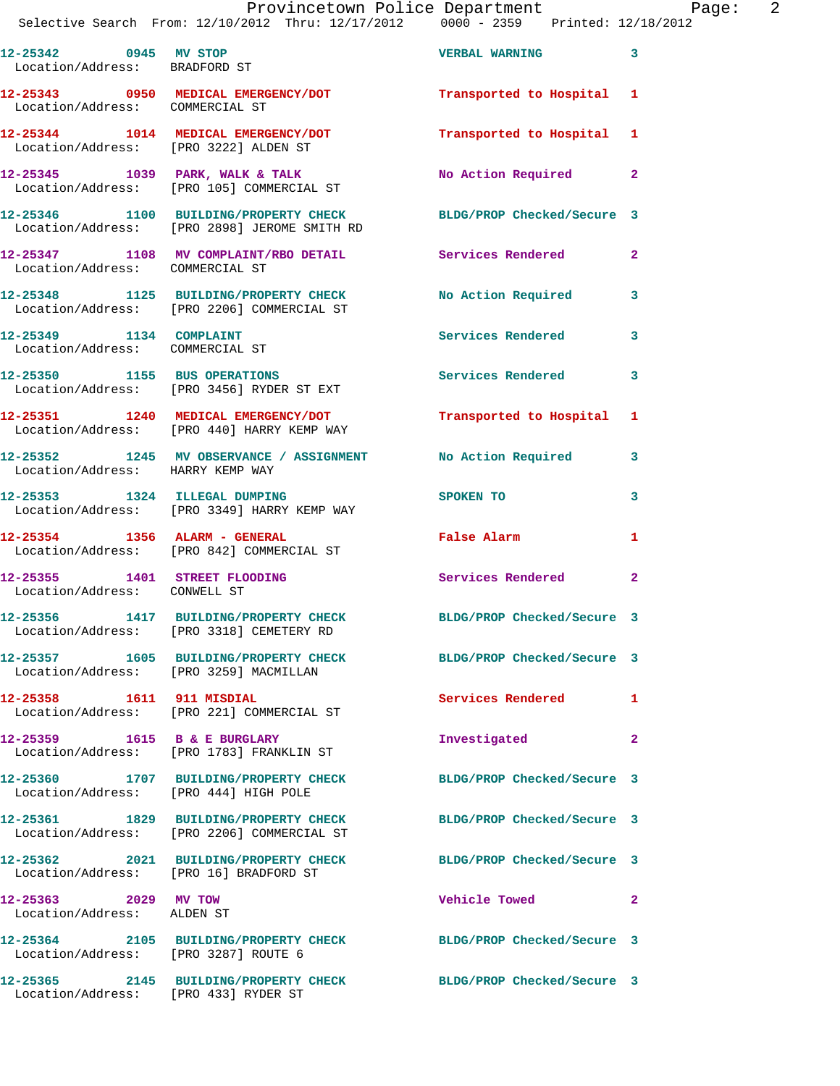|                                                            | Provincetown Police Department<br>Selective Search From: 12/10/2012 Thru: 12/17/2012 0000 - 2359 Printed: 12/18/2012 |                                  | Page: 2        |  |
|------------------------------------------------------------|----------------------------------------------------------------------------------------------------------------------|----------------------------------|----------------|--|
| 12-25342 0945 MV STOP<br>Location/Address: BRADFORD ST     |                                                                                                                      | <b>VERBAL WARNING 3</b>          |                |  |
| Location/Address: COMMERCIAL ST                            | 12-25343 0950 MEDICAL EMERGENCY/DOT Transported to Hospital 1                                                        |                                  |                |  |
|                                                            | 12-25344 1014 MEDICAL EMERGENCY/DOT Transported to Hospital 1<br>Location/Address: [PRO 3222] ALDEN ST               |                                  |                |  |
|                                                            |                                                                                                                      | No Action Required               | $\mathbf{2}$   |  |
|                                                            | 12-25346 1100 BUILDING/PROPERTY CHECK BLDG/PROP Checked/Secure 3<br>Location/Address: [PRO 2898] JEROME SMITH RD     |                                  |                |  |
| Location/Address: COMMERCIAL ST                            | 12-25347 1108 MV COMPLAINT/RBO DETAIL Services Rendered                                                              |                                  | $\overline{a}$ |  |
|                                                            | 12-25348 1125 BUILDING/PROPERTY CHECK No Action Required<br>Location/Address: [PRO 2206] COMMERCIAL ST               |                                  | 3              |  |
| 12-25349 1134 COMPLAINT<br>Location/Address: COMMERCIAL ST |                                                                                                                      | Services Rendered                | 3              |  |
|                                                            | 12-25350 1155 BUS OPERATIONS<br>Location/Address: [PRO 3456] RYDER ST EXT                                            | Services Rendered                | 3              |  |
|                                                            | 12-25351 1240 MEDICAL EMERGENCY/DOT Transported to Hospital 1<br>Location/Address: [PRO 440] HARRY KEMP WAY          |                                  |                |  |
| Location/Address: HARRY KEMP WAY                           | 12-25352 1245 MV OBSERVANCE / ASSIGNMENT No Action Required                                                          |                                  | 3              |  |
|                                                            | 12-25353 1324 ILLEGAL DUMPING<br>Location/Address: [PRO 3349] HARRY KEMP WAY                                         | SPOKEN TO AND TO A THE SPOKEN TO | 3              |  |
|                                                            | 12-25354 1356 ALARM - GENERAL<br>Location/Address: [PRO 842] COMMERCIAL ST                                           | False Alarm                      | 1              |  |
| Location/Address: CONWELL ST                               | 12-25355 1401 STREET FLOODING Services Rendered                                                                      |                                  | 2              |  |
|                                                            | 12-25356 1417 BUILDING/PROPERTY CHECK<br>Location/Address: [PRO 3318] CEMETERY RD                                    | BLDG/PROP Checked/Secure 3       |                |  |
| Location/Address: [PRO 3259] MACMILLAN                     | 12-25357 1605 BUILDING/PROPERTY CHECK BLDG/PROP Checked/Secure 3                                                     |                                  |                |  |
|                                                            | Location/Address: [PRO 221] COMMERCIAL ST                                                                            | Services Rendered                | 1              |  |
|                                                            | 12-25359 1615 B & E BURGLARY<br>Location/Address: [PRO 1783] FRANKLIN ST                                             | Investigated                     | 2              |  |
| Location/Address: [PRO 444] HIGH POLE                      | 12-25360 1707 BUILDING/PROPERTY CHECK                                                                                | BLDG/PROP Checked/Secure 3       |                |  |
|                                                            | 12-25361 1829 BUILDING/PROPERTY CHECK<br>Location/Address: [PRO 2206] COMMERCIAL ST                                  | BLDG/PROP Checked/Secure 3       |                |  |
| Location/Address: [PRO 16] BRADFORD ST                     | 12-25362 2021 BUILDING/PROPERTY CHECK BLDG/PROP Checked/Secure 3                                                     |                                  |                |  |
| 12-25363 2029 MV TOW<br>Location/Address: ALDEN ST         |                                                                                                                      | Vehicle Towed <b>Seat 1996</b>   | $\mathbf{2}$   |  |
|                                                            | 12-25364 2105 BUILDING/PROPERTY CHECK BLDG/PROP Checked/Secure 3                                                     |                                  |                |  |

Location/Address: [PRO 3287] ROUTE 6

Location/Address: [PRO 433] RYDER ST

**12-25365 2145 BUILDING/PROPERTY CHECK BLDG/PROP Checked/Secure 3**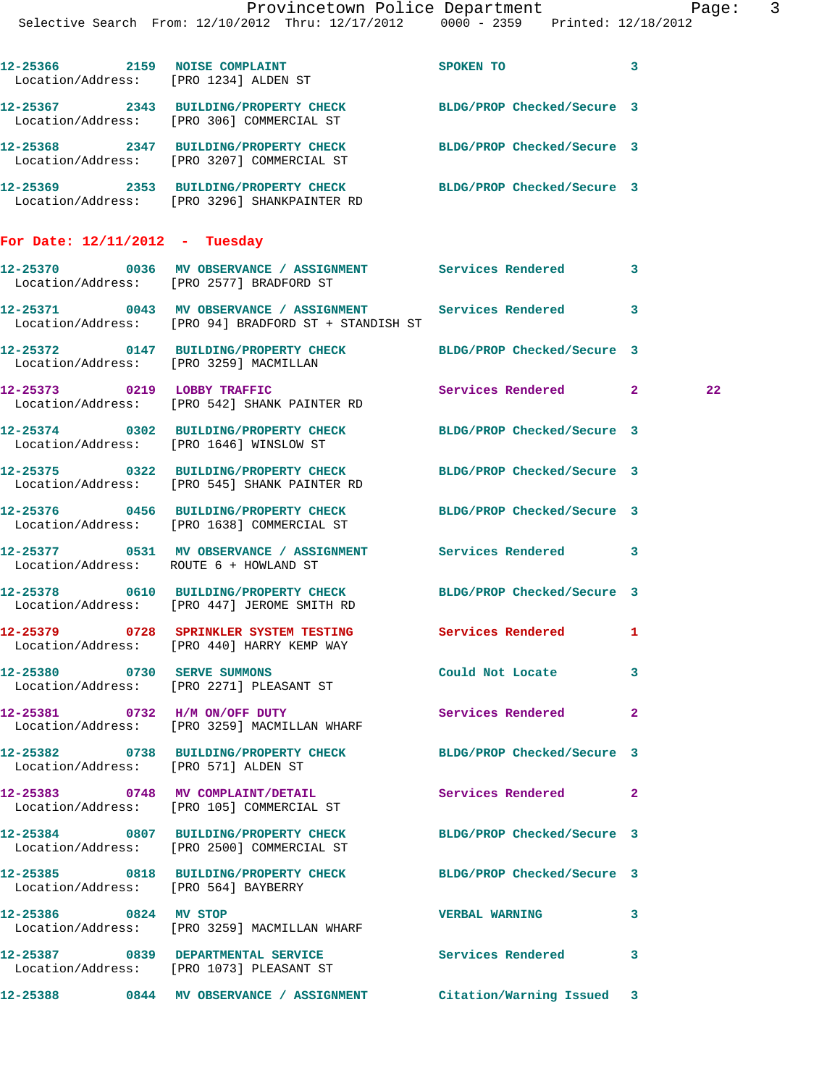|                                  | Provincetown Police Department Page: 3<br>Selective Search From: 12/10/2012 Thru: 12/17/2012 0000 - 2359 Printed: 12/18/2012 |                             |                            |  |
|----------------------------------|------------------------------------------------------------------------------------------------------------------------------|-----------------------------|----------------------------|--|
|                                  | 12-25366 2159 NOISE COMPLAINT<br>Location/Address: [PRO 1234] ALDEN ST                                                       | <b>SPOKEN TO</b>            | $\overline{\phantom{a}}$ 3 |  |
|                                  | 12-25367 2343 BUILDING/PROPERTY CHECK BLDG/PROP Checked/Secure 3<br>Location/Address: [PRO 306] COMMERCIAL ST                |                             |                            |  |
|                                  | 12-25368 2347 BUILDING/PROPERTY CHECK BLDG/PROP Checked/Secure 3<br>Location/Address: [PRO 3207] COMMERCIAL ST               |                             |                            |  |
|                                  | 12-25369 2353 BUILDING/PROPERTY CHECK BLDG/PROP Checked/Secure 3<br>Location/Address: [PRO 3296] SHANKPAINTER RD             |                             |                            |  |
| For Date: $12/11/2012$ - Tuesday |                                                                                                                              |                             |                            |  |
|                                  | 12-25370 0036 MV OBSERVANCE / ASSIGNMENT Services Rendered 3<br>Location/Address: [PRO 2577] BRADFORD ST                     |                             |                            |  |
|                                  | 12-25371 0043 MV OBSERVANCE / ASSIGNMENT Services Rendered 3<br>Location/Address: [PRO 94] BRADFORD ST + STANDISH ST         |                             |                            |  |
|                                  | 12-25372 0147 BUILDING/PROPERTY CHECK BLDG/PROP Checked/Secure 3<br>Location/Address: [PRO 3259] MACMILLAN                   |                             |                            |  |
|                                  | 12-25373 0219 LOBBY TRAFFIC<br>Location/Address: [PRO 542] SHANK PAINTER RD                                                  | Services Rendered 2         | 22                         |  |
|                                  | 12-25374 0302 BUILDING/PROPERTY CHECK BLDG/PROP Checked/Secure 3<br>Location/Address: [PRO 1646] WINSLOW ST                  |                             |                            |  |
|                                  | 12-25375 0322 BUILDING/PROPERTY CHECK BLDG/PROP Checked/Secure 3<br>Location/Address: [PRO 545] SHANK PAINTER RD             |                             |                            |  |
|                                  | 12-25376 0456 BUILDING/PROPERTY CHECK BLDG/PROP Checked/Secure 3<br>Location/Address: [PRO 1638] COMMERCIAL ST               |                             |                            |  |
|                                  | 12-25377 0531 MV OBSERVANCE / ASSIGNMENT Services Rendered 3<br>Location/Address: ROUTE 6 + HOWLAND ST                       |                             |                            |  |
|                                  | 12-25378 0610 BUILDING/PROPERTY CHECK BLDG/PROP Checked/Secure 3<br>Location/Address: [PRO 447] JEROME SMITH RD              |                             |                            |  |
|                                  | 12-25379 0728 SPRINKLER SYSTEM TESTING Services Rendered 1<br>Location/Address: [PRO 440] HARRY KEMP WAY                     |                             |                            |  |
|                                  | 12-25380 0730 SERVE SUMMONS<br>Location/Address: [PRO 2271] PLEASANT ST                                                      | Could Not Locate 3          |                            |  |
|                                  | 12-25381 0732 H/M ON/OFF DUTY<br>Location/Address: [PRO 3259] MACMILLAN WHARF                                                | <b>Services Rendered 22</b> |                            |  |
|                                  | 12-25382 0738 BUILDING/PROPERTY CHECK BLDG/PROP Checked/Secure 3<br>Location/Address: [PRO 571] ALDEN ST                     |                             |                            |  |
|                                  | 12-25383 0748 MV COMPLAINT/DETAIL Services Rendered 2<br>Location/Address: [PRO 105] COMMERCIAL ST                           |                             |                            |  |
|                                  | 12-25384 0807 BUILDING/PROPERTY CHECK BLDG/PROP Checked/Secure 3<br>Location/Address: [PRO 2500] COMMERCIAL ST               |                             |                            |  |
|                                  | 12-25385 0818 BUILDING/PROPERTY CHECK BLDG/PROP Checked/Secure 3<br>Location/Address: [PRO 564] BAYBERRY                     |                             |                            |  |
| 12-25386 0824 MV STOP            | Location/Address: [PRO 3259] MACMILLAN WHARF                                                                                 | <b>VERBAL WARNING</b>       | 3                          |  |
|                                  | 12-25387 0839 DEPARTMENTAL SERVICE<br>Location/Address: [PRO 1073] PLEASANT ST                                               | Services Rendered           | $\mathbf{3}$               |  |
|                                  | 12-25388 0844 MV OBSERVANCE / ASSIGNMENT Citation/Warning Issued 3                                                           |                             |                            |  |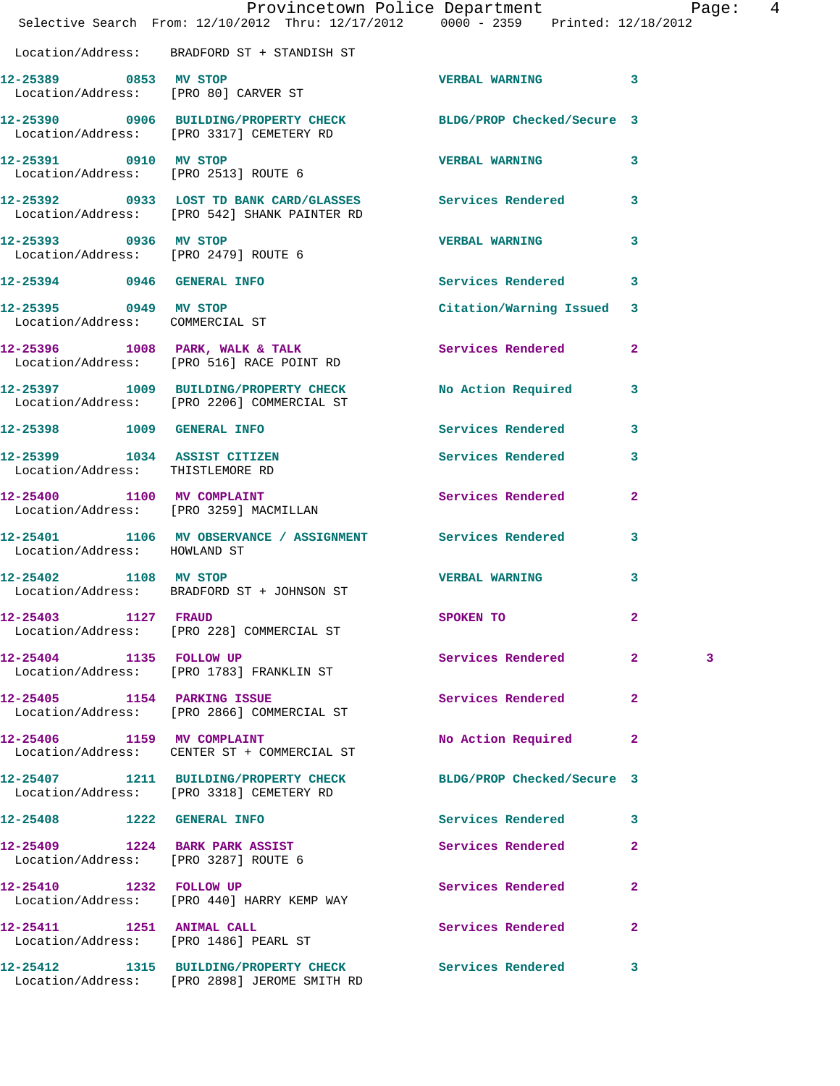|                                                                  | Provincetown Police Department<br>Selective Search From: 12/10/2012 Thru: 12/17/2012 0000 - 2359 Printed: 12/18/2012 |                            |              |
|------------------------------------------------------------------|----------------------------------------------------------------------------------------------------------------------|----------------------------|--------------|
|                                                                  | Location/Address: BRADFORD ST + STANDISH ST                                                                          |                            |              |
|                                                                  | 12-25389 0853 MV STOP<br>Location/Address: [PRO 80] CARVER ST                                                        | <b>VERBAL WARNING</b> 3    |              |
|                                                                  | 12-25390 0906 BUILDING/PROPERTY CHECK BLDG/PROP Checked/Secure 3<br>Location/Address: [PRO 3317] CEMETERY RD         |                            |              |
|                                                                  | 12-25391 0910 MV STOP<br>Location/Address: [PRO 2513] ROUTE 6                                                        | VERBAL WARNING 3           |              |
|                                                                  | 12-25392 0933 LOST TD BANK CARD/GLASSES Services Rendered 3<br>Location/Address: [PRO 542] SHANK PAINTER RD          |                            |              |
|                                                                  | 12-25393 0936 MV STOP<br>Location/Address: [PRO 2479] ROUTE 6                                                        | VERBAL WARNING 3           |              |
|                                                                  | 12-25394 0946 GENERAL INFO                                                                                           | Services Rendered 3        |              |
|                                                                  | 12-25395 0949 MV STOP<br>Location/Address: COMMERCIAL ST                                                             | Citation/Warning Issued 3  |              |
|                                                                  | 12-25396 1008 PARK, WALK & TALK<br>Location/Address: [PRO 516] RACE POINT RD                                         | Services Rendered 2        |              |
|                                                                  | 12-25397 1009 BUILDING/PROPERTY CHECK No Action Required 3<br>Location/Address: [PRO 2206] COMMERCIAL ST             |                            |              |
|                                                                  | 12-25398 1009 GENERAL INFO                                                                                           | Services Rendered 3        |              |
| 12-25399 1034 ASSIST CITIZEN<br>Location/Address: THISTLEMORE RD |                                                                                                                      | Services Rendered 3        |              |
|                                                                  | 12-25400 1100 MV COMPLAINT<br>Location/Address: [PRO 3259] MACMILLAN                                                 | Services Rendered 2        |              |
| Location/Address: HOWLAND ST                                     | 12-25401 1106 MV OBSERVANCE / ASSIGNMENT Services Rendered 3                                                         |                            |              |
| 12-25402 1108 MV STOP                                            | Location/Address: BRADFORD ST + JOHNSON ST                                                                           | <b>VERBAL WARNING</b>      | $\mathbf{3}$ |
| 12-25403 1127 FRAUD                                              | Location/Address: [PRO 228] COMMERCIAL ST                                                                            | SPOKEN TO                  | 2            |
| 12-25404 1135 FOLLOW UP                                          | Location/Address: [PRO 1783] FRANKLIN ST                                                                             | Services Rendered 2        | 3            |
|                                                                  | 12-25405 1154 PARKING ISSUE<br>Location/Address: [PRO 2866] COMMERCIAL ST                                            | Services Rendered          | $\mathbf{2}$ |
| 12-25406 1159 MV COMPLAINT                                       | Location/Address: CENTER ST + COMMERCIAL ST                                                                          | No Action Required 2       |              |
|                                                                  | 12-25407 1211 BUILDING/PROPERTY CHECK<br>Location/Address: [PRO 3318] CEMETERY RD                                    | BLDG/PROP Checked/Secure 3 |              |
| 12-25408 1222 GENERAL INFO                                       |                                                                                                                      | Services Rendered 3        |              |
| Location/Address: [PRO 3287] ROUTE 6                             | 12-25409 1224 BARK PARK ASSIST                                                                                       | Services Rendered          | $\mathbf{2}$ |
| 12-25410 1232 FOLLOW UP                                          | Location/Address: [PRO 440] HARRY KEMP WAY                                                                           | Services Rendered 2        |              |
|                                                                  | 12-25411 1251 ANIMAL CALL<br>Location/Address: [PRO 1486] PEARL ST                                                   | Services Rendered          | $\mathbf{2}$ |
|                                                                  | 12-25412 1315 BUILDING/PROPERTY CHECK Services Rendered 3<br>Location/Address: [PRO 2898] JEROME SMITH RD            |                            |              |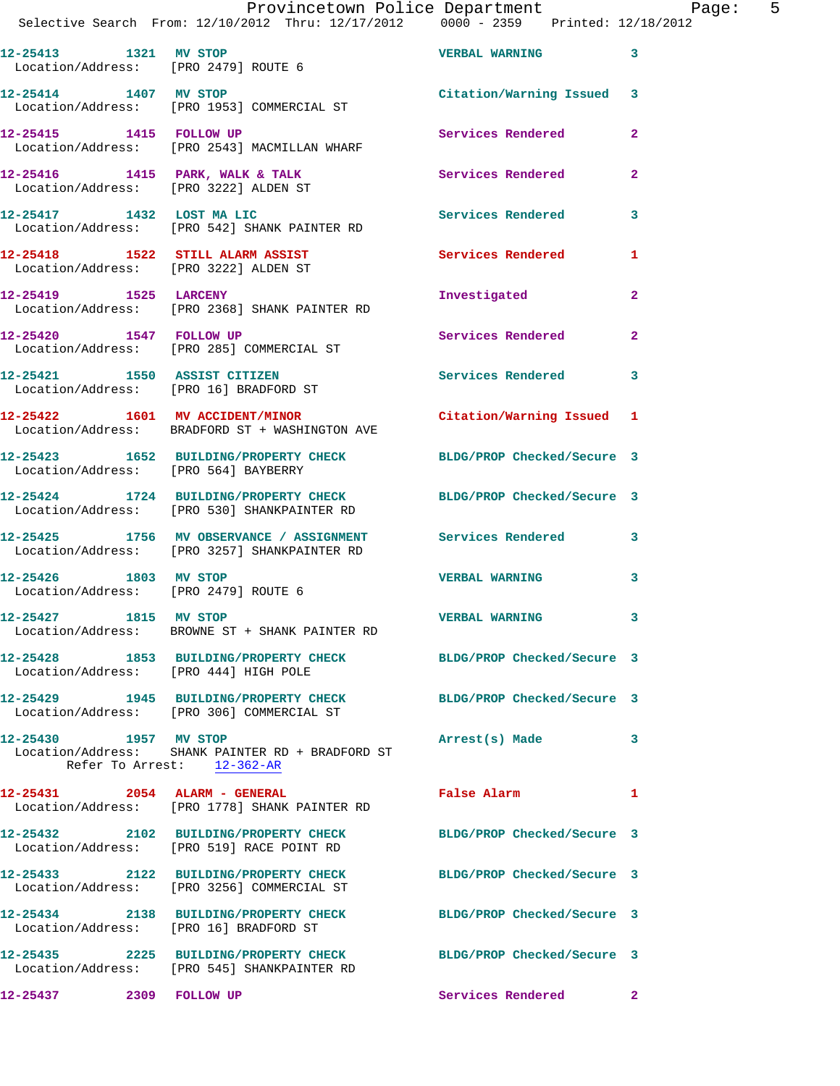|  | Provincetown Police Department                     |                                 | Page: |  |
|--|----------------------------------------------------|---------------------------------|-------|--|
|  | Selective Search From: 12/10/2012 Thru: 12/17/2012 | 0000 - 2359 Printed: 12/18/2012 |       |  |

| 12-25413<br>1321<br>Location/Address: [PRO 2479] ROUTE 6 | MV STOP                             | <b>VERBAL WARNING</b>   |  |
|----------------------------------------------------------|-------------------------------------|-------------------------|--|
| 12-25414<br>1407<br>Location/Address:                    | MV STOP<br>[PRO 1953] COMMERCIAL ST | Citation/Warning Issued |  |

**12-25415 1415 FOLLOW UP Services Rendered 2**  Location/Address: [PRO 2543] MACMILLAN WHARF

12-25416 1415 PARK, WALK & TALK **Services Rendered** 2 Location/Address: [PRO 3222] ALDEN ST **12-25417 1432 LOST MA LIC Services Rendered 3** 

Location/Address: [PRO 542] SHANK PAINTER RD

12-25418 1522 STILL ALARM ASSIST Services Rendered 1 Location/Address: [PRO 3222] ALDEN ST

**12-25419 1525 LARCENY Investigated 2**  Location/Address: [PRO 2368] SHANK PAINTER RD

**12-25420 1547 FOLLOW UP Services Rendered 2**  Location/Address: [PRO 285] COMMERCIAL ST

**12-25421 1550 ASSIST CITIZEN Services Rendered 3**  Location/Address: [PRO 16] BRADFORD ST

**12-25422 1601 MV ACCIDENT/MINOR Citation/Warning Issued 1**  Location/Address: BRADFORD ST + WASHINGTON AVE

**12-25423 1652 BUILDING/PROPERTY CHECK BLDG/PROP Checked/Secure 3**  Location/Address: [PRO 564] BAYBERRY

**12-25424 1724 BUILDING/PROPERTY CHECK BLDG/PROP Checked/Secure 3** 

 Location/Address: [PRO 530] SHANKPAINTER RD **12-25425 1756 MV OBSERVANCE / ASSIGNMENT Services Rendered 3**  Location/Address: [PRO 3257] SHANKPAINTER RD

**12-25426 1803 MV STOP VERBAL WARNING 3**  Location/Address: [PRO 2479] ROUTE 6

**12-25427 1815 MV STOP VERBAL WARNING 3**  Location/Address: BROWNE ST + SHANK PAINTER RD

**12-25428 1853 BUILDING/PROPERTY CHECK BLDG/PROP Checked/Secure 3**  Location/Address: [PRO 444] HIGH POLE

**12-25429 1945 BUILDING/PROPERTY CHECK BLDG/PROP Checked/Secure 3**  Location/Address: [PRO 306] COMMERCIAL ST

**12-25430 1957 MV STOP Arrest(s) Made 3**  Location/Address: SHANK PAINTER RD + BRADFORD ST Refer To Arrest: 12-362-AR

**12-25431 2054 ALARM - GENERAL False Alarm 1**  Location/Address: [PRO 1778] SHANK PAINTER RD

**12-25432 2102 BUILDING/PROPERTY CHECK BLDG/PROP Checked/Secure 3**  Location/Address: [PRO 519] RACE POINT RD

**12-25433 2122 BUILDING/PROPERTY CHECK BLDG/PROP Checked/Secure 3**  Location/Address: [PRO 3256] COMMERCIAL ST

Location/Address: [PRO 16] BRADFORD ST

Location/Address: [PRO 545] SHANKPAINTER RD

**12-25434 2138 BUILDING/PROPERTY CHECK BLDG/PROP Checked/Secure 3** 

**12-25435 2225 BUILDING/PROPERTY CHECK BLDG/PROP Checked/Secure 3** 

**12-25437 2309 FOLLOW UP Services Rendered 2**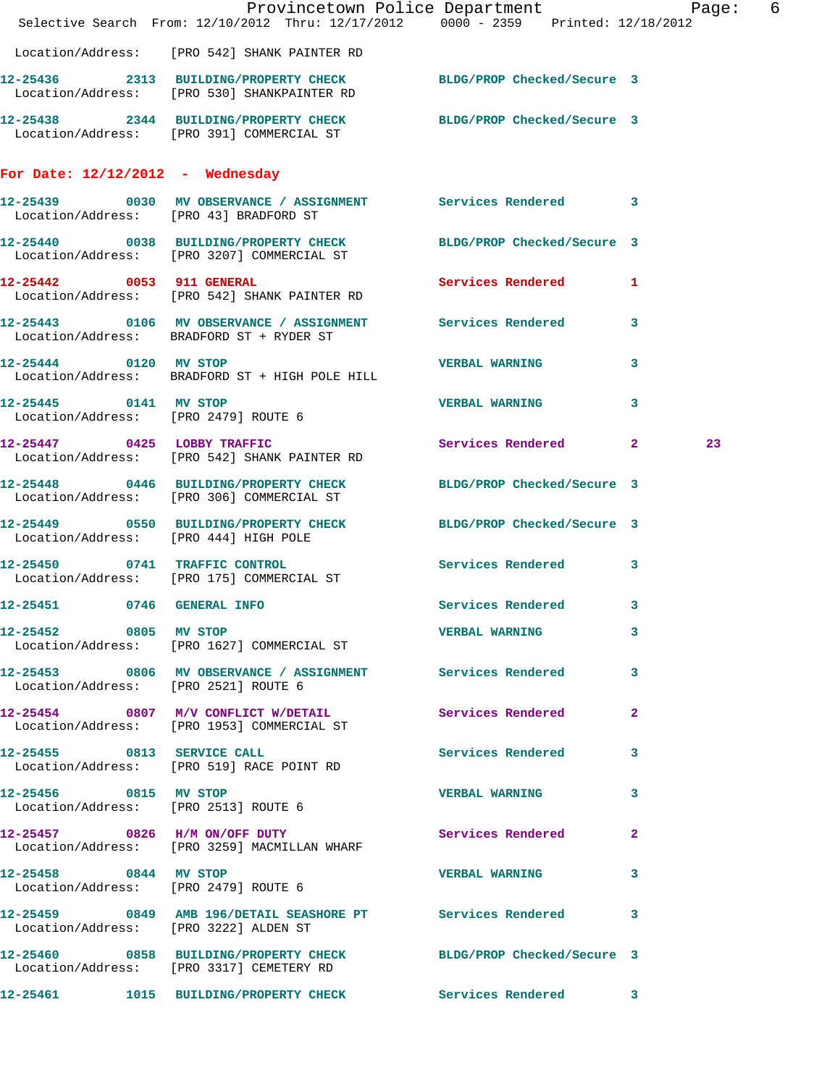| Selective Search From: 12/10/2012 Thru: 12/17/2012 0000 - 2359 Printed: 12/18/2012                              |  |  | Provincetown Police Department Page: 6 |  |                       |              |    |  |
|-----------------------------------------------------------------------------------------------------------------|--|--|----------------------------------------|--|-----------------------|--------------|----|--|
| Location/Address: [PRO 542] SHANK PAINTER RD                                                                    |  |  |                                        |  |                       |              |    |  |
| 12-25436 2313 BUILDING/PROPERTY CHECK BLDG/PROP Checked/Secure 3<br>Location/Address: [PRO 530] SHANKPAINTER RD |  |  |                                        |  |                       |              |    |  |
| 12-25438 2344 BUILDING/PROPERTY CHECK BLDG/PROP Checked/Secure 3<br>Location/Address: [PRO 391] COMMERCIAL ST   |  |  |                                        |  |                       |              |    |  |
| For Date: $12/12/2012$ - Wednesday                                                                              |  |  |                                        |  |                       |              |    |  |
| 12-25439 0030 MV OBSERVANCE / ASSIGNMENT Services Rendered 3<br>Location/Address: [PRO 43] BRADFORD ST          |  |  |                                        |  |                       |              |    |  |
| 12-25440 0038 BUILDING/PROPERTY CHECK BLDG/PROP Checked/Secure 3<br>Location/Address: [PRO 3207] COMMERCIAL ST  |  |  |                                        |  |                       |              |    |  |
| 12-25442 0053 911 GENERAL<br>Location/Address: [PRO 542] SHANK PAINTER RD                                       |  |  |                                        |  | Services Rendered 1   |              |    |  |
| 12-25443 0106 MV OBSERVANCE / ASSIGNMENT Services Rendered<br>Location/Address: BRADFORD ST + RYDER ST          |  |  |                                        |  |                       | $\mathbf{3}$ |    |  |
| 12-25444 0120 MV STOP<br>Location/Address: BRADFORD ST + HIGH POLE HILL                                         |  |  |                                        |  | <b>VERBAL WARNING</b> | 3            |    |  |
| 12-25445 0141 MV STOP<br>Location/Address: [PRO 2479] ROUTE 6                                                   |  |  |                                        |  | <b>VERBAL WARNING</b> | 3            |    |  |
| 12-25447 0425 LOBBY TRAFFIC<br>Location/Address: [PRO 542] SHANK PAINTER RD                                     |  |  |                                        |  | Services Rendered 2   |              | 23 |  |
| 12-25448 0446 BUILDING/PROPERTY CHECK BLDG/PROP Checked/Secure 3<br>Location/Address: [PRO 306] COMMERCIAL ST   |  |  |                                        |  |                       |              |    |  |
| 12-25449 0550 BUILDING/PROPERTY CHECK BLDG/PROP Checked/Secure 3<br>Location/Address: [PRO 444] HIGH POLE       |  |  |                                        |  |                       |              |    |  |
| 12-25450 0741 TRAFFIC CONTROL<br>Location/Address: [PRO 175] COMMERCIAL ST                                      |  |  |                                        |  | Services Rendered     | 3            |    |  |
| 12-25451 0746 GENERAL INFO                                                                                      |  |  | Services Rendered 3                    |  |                       |              |    |  |
| 12-25452 0805 MV STOP<br>Location/Address: [PRO 1627] COMMERCIAL ST                                             |  |  |                                        |  | <b>VERBAL WARNING</b> | 3            |    |  |
| 12-25453 0806 MV OBSERVANCE / ASSIGNMENT Services Rendered 3<br>Location/Address: [PRO 2521] ROUTE 6            |  |  |                                        |  |                       |              |    |  |
| 12-25454 0807 M/V CONFLICT W/DETAIL Services Rendered 2<br>Location/Address: [PRO 1953] COMMERCIAL ST           |  |  |                                        |  |                       |              |    |  |
| 12-25455 0813 SERVICE CALL<br>Location/Address: [PRO 519] RACE POINT RD                                         |  |  |                                        |  | Services Rendered     | 3            |    |  |
| 12-25456 0815 MV STOP<br>Location/Address: [PRO 2513] ROUTE 6                                                   |  |  |                                        |  | <b>VERBAL WARNING</b> | 3            |    |  |
| 12-25457 0826 H/M ON/OFF DUTY<br>Location/Address: [PRO 3259] MACMILLAN WHARF                                   |  |  |                                        |  | Services Rendered     | $\mathbf{2}$ |    |  |
| 12-25458 0844 MV STOP<br>Location/Address: [PRO 2479] ROUTE 6                                                   |  |  |                                        |  | <b>VERBAL WARNING</b> | 3            |    |  |
| 12-25459 0849 AMB 196/DETAIL SEASHORE PT Services Rendered 3<br>Location/Address: [PRO 3222] ALDEN ST           |  |  |                                        |  |                       |              |    |  |
| 12-25460 0858 BUILDING/PROPERTY CHECK BLDG/PROP Checked/Secure 3<br>Location/Address: [PRO 3317] CEMETERY RD    |  |  |                                        |  |                       |              |    |  |
| 12-25461 1015 BUILDING/PROPERTY CHECK Services Rendered 3                                                       |  |  |                                        |  |                       |              |    |  |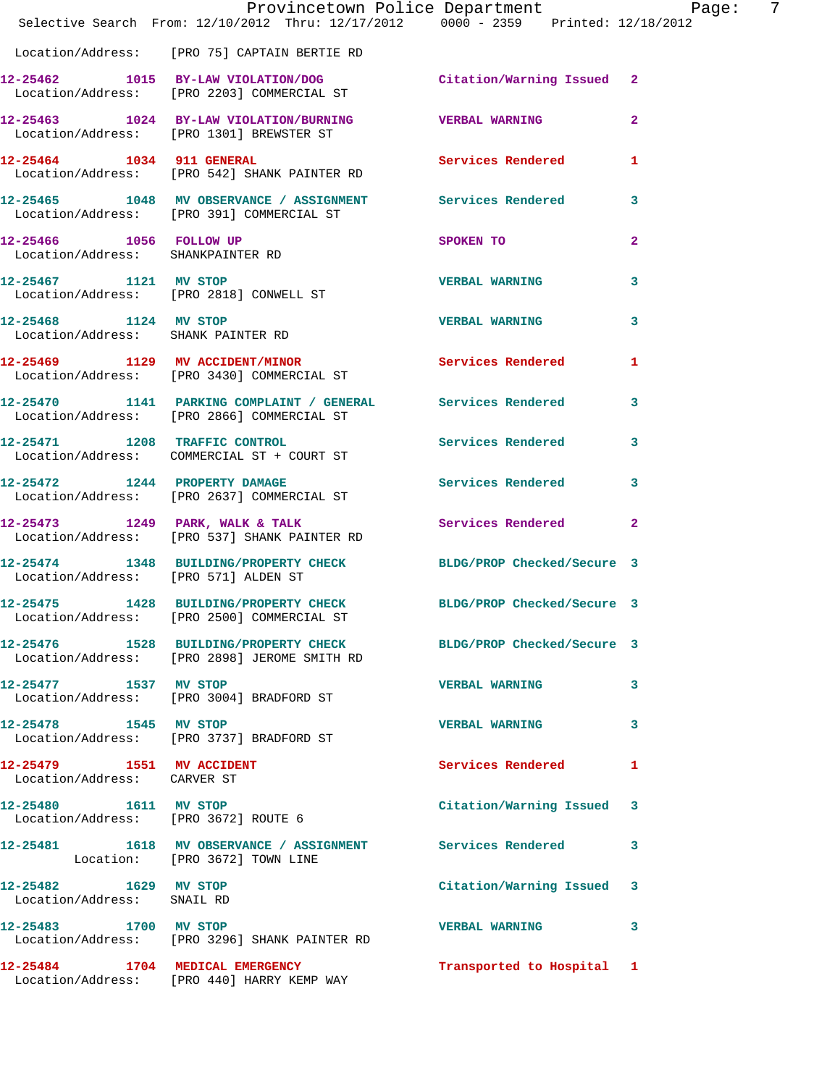|                                                              | Provincetown Police Department Page: 7<br>Selective Search From: 12/10/2012 Thru: 12/17/2012 0000 - 2359 Printed: 12/18/2012 |                           |              |
|--------------------------------------------------------------|------------------------------------------------------------------------------------------------------------------------------|---------------------------|--------------|
|                                                              | Location/Address: [PRO 75] CAPTAIN BERTIE RD                                                                                 |                           |              |
|                                                              | 12-25462 1015 BY-LAW VIOLATION/DOG Citation/Warning Issued 2<br>Location/Address: [PRO 2203] COMMERCIAL ST                   |                           |              |
|                                                              | 12-25463 1024 BY-LAW VIOLATION/BURNING VERBAL WARNING<br>Location/Address: [PRO 1301] BREWSTER ST                            |                           | $\mathbf{2}$ |
|                                                              | 12-25464 1034 911 GENERAL<br>Location/Address: [PRO 542] SHANK PAINTER RD                                                    | Services Rendered 1       |              |
|                                                              | 12-25465 1048 MV OBSERVANCE / ASSIGNMENT Services Rendered<br>Location/Address: [PRO 391] COMMERCIAL ST                      |                           | 3            |
| 12-25466 1056 FOLLOW UP<br>Location/Address: SHANKPAINTER RD |                                                                                                                              | SPOKEN TO                 | $\mathbf{2}$ |
|                                                              | 12-25467 1121 MV STOP<br>Location/Address: [PRO 2818] CONWELL ST                                                             | <b>VERBAL WARNING</b>     | 3            |
| Location/Address: SHANK PAINTER RD                           | 12-25468 1124 MV STOP                                                                                                        | <b>VERBAL WARNING</b>     | 3            |
|                                                              | 12-25469 1129 MV ACCIDENT/MINOR<br>Location/Address: [PRO 3430] COMMERCIAL ST                                                | Services Rendered         | 1            |
|                                                              | 12-25470 1141 PARKING COMPLAINT / GENERAL Services Rendered<br>Location/Address: [PRO 2866] COMMERCIAL ST                    |                           | 3            |
|                                                              | 12-25471 1208 TRAFFIC CONTROL<br>Location/Address: COMMERCIAL ST + COURT ST                                                  | Services Rendered 3       |              |
|                                                              | 12-25472 1244 PROPERTY DAMAGE<br>Location/Address: [PRO 2637] COMMERCIAL ST                                                  | Services Rendered         | 3            |
|                                                              | 12-25473 1249 PARK, WALK & TALK 1988 Services Rendered 2<br>Location/Address: [PRO 537] SHANK PAINTER RD                     |                           |              |
| Location/Address: [PRO 571] ALDEN ST                         | 12-25474 1348 BUILDING/PROPERTY CHECK BLDG/PROP Checked/Secure 3                                                             |                           |              |
|                                                              | 12-25475 1428 BUILDING/PROPERTY CHECK BLDG/PROP Checked/Secure 3<br>Location/Address: [PRO 2500] COMMERCIAL ST               |                           |              |
|                                                              | 12-25476 1528 BUILDING/PROPERTY CHECK BLDG/PROP Checked/Secure 3<br>Location/Address: [PRO 2898] JEROME SMITH RD             |                           |              |
|                                                              | 12-25477 1537 MV STOP<br>Location/Address: [PRO 3004] BRADFORD ST                                                            | <b>VERBAL WARNING</b>     | 3            |
| 12-25478 1545 MV STOP                                        | Location/Address: [PRO 3737] BRADFORD ST                                                                                     | <b>VERBAL WARNING</b>     | 3            |
| Location/Address: CARVER ST                                  |                                                                                                                              | Services Rendered         | 1            |
|                                                              | 12-25480   1611 MV STOP<br>Location/Address: [PRO 3672] ROUTE 6                                                              | Citation/Warning Issued 3 |              |
|                                                              | 12-25481 1618 MV OBSERVANCE / ASSIGNMENT Services Rendered 3<br>Location: [PRO 3672] TOWN LINE                               |                           |              |
| 12-25482 1629 MV STOP<br>Location/Address: SNAIL RD          |                                                                                                                              | Citation/Warning Issued 3 |              |
| 12-25483 1700 MV STOP                                        | Location/Address: [PRO 3296] SHANK PAINTER RD                                                                                | <b>VERBAL WARNING</b>     | 3            |
|                                                              | 12-25484 1704 MEDICAL EMERGENCY<br>Location/Address: [PRO 440] HARRY KEMP WAY                                                | Transported to Hospital 1 |              |
|                                                              |                                                                                                                              |                           |              |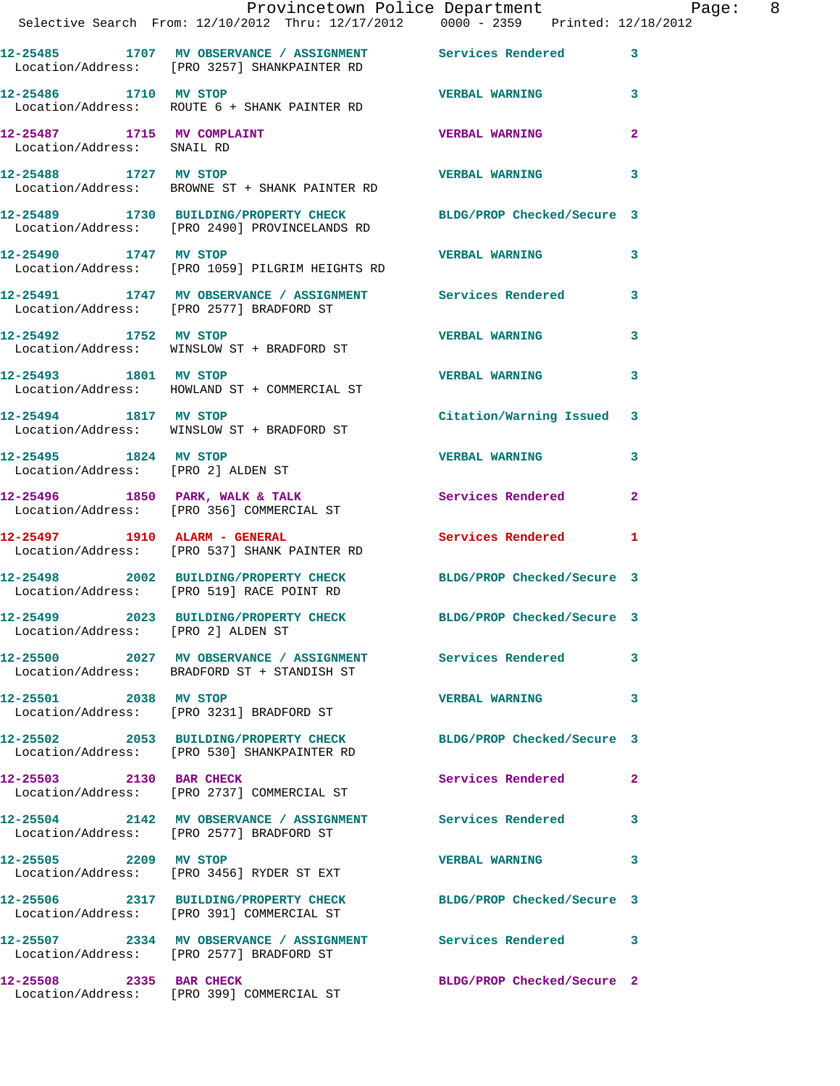|                                                          | Provincetown Police Department Page: 8<br>Selective Search From: 12/10/2012 Thru: 12/17/2012 0000 - 2359 Printed: 12/18/2012 |                            |              |
|----------------------------------------------------------|------------------------------------------------------------------------------------------------------------------------------|----------------------------|--------------|
|                                                          | 12-25485 1707 MV OBSERVANCE / ASSIGNMENT Services Rendered<br>Location/Address: [PRO 3257] SHANKPAINTER RD                   |                            | 3            |
| 12-25486 1710 MV STOP                                    | Location/Address: ROUTE 6 + SHANK PAINTER RD                                                                                 | <b>VERBAL WARNING</b>      | 3            |
| 12-25487 1715 MV COMPLAINT<br>Location/Address: SNAIL RD |                                                                                                                              | <b>VERBAL WARNING</b>      | 2            |
|                                                          | 12-25488 1727 MV STOP<br>Location/Address: BROWNE ST + SHANK PAINTER RD                                                      | <b>VERBAL WARNING</b>      | 3            |
|                                                          | 12-25489 1730 BUILDING/PROPERTY CHECK BLDG/PROP Checked/Secure 3<br>Location/Address: [PRO 2490] PROVINCELANDS RD            |                            |              |
| 12-25490 1747 MV STOP                                    | Location/Address: [PRO 1059] PILGRIM HEIGHTS RD                                                                              | <b>VERBAL WARNING</b>      | 3            |
|                                                          | 12-25491 1747 MV OBSERVANCE / ASSIGNMENT Services Rendered<br>Location/Address: [PRO 2577] BRADFORD ST                       |                            | 3            |
|                                                          | 12-25492 1752 MV STOP<br>Location/Address: WINSLOW ST + BRADFORD ST                                                          | <b>VERBAL WARNING</b>      | 3            |
| 12-25493 1801 MV STOP                                    | Location/Address: HOWLAND ST + COMMERCIAL ST                                                                                 | <b>VERBAL WARNING</b>      | 3            |
|                                                          | 12-25494 1817 MV STOP<br>Location/Address: WINSLOW ST + BRADFORD ST                                                          | Citation/Warning Issued 3  |              |
| 12-25495 1824 MV STOP                                    | Location/Address: [PRO 2] ALDEN ST                                                                                           | <b>VERBAL WARNING</b>      | 3            |
|                                                          | 12-25496 1850 PARK, WALK & TALK Services Rendered<br>Location/Address: [PRO 356] COMMERCIAL ST                               |                            | $\mathbf{2}$ |
| $12-25497$ 1910 ALARM - GENERAL                          | Location/Address: [PRO 537] SHANK PAINTER RD                                                                                 | Services Rendered 1        |              |
|                                                          | 12-25498 2002 BUILDING/PROPERTY CHECK BLDG/PROP Checked/Secure 3<br>Location/Address: [PRO 519] RACE POINT RD                |                            |              |
| Location/Address: [PRO 2] ALDEN ST                       | 12-25499 2023 BUILDING/PROPERTY CHECK BLDG/PROP Checked/Secure 3                                                             |                            |              |
|                                                          | 12-25500 2027 MV OBSERVANCE / ASSIGNMENT Services Rendered<br>Location/Address: BRADFORD ST + STANDISH ST                    |                            | 3            |
| 12-25501 2038 MV STOP                                    | Location/Address: [PRO 3231] BRADFORD ST                                                                                     | <b>VERBAL WARNING</b>      | 3            |
|                                                          | 12-25502 2053 BUILDING/PROPERTY CHECK BLDG/PROP Checked/Secure 3<br>Location/Address: [PRO 530] SHANKPAINTER RD              |                            |              |
| 12-25503 2130 BAR CHECK                                  | Location/Address: [PRO 2737] COMMERCIAL ST                                                                                   | <b>Services Rendered</b>   | $\mathbf{2}$ |
|                                                          | 12-25504 2142 MV OBSERVANCE / ASSIGNMENT Services Rendered<br>Location/Address: [PRO 2577] BRADFORD ST                       |                            | 3            |
| 12-25505 2209 MV STOP                                    | Location/Address: [PRO 3456] RYDER ST EXT                                                                                    | <b>VERBAL WARNING</b>      | 3            |
|                                                          | 12-25506 2317 BUILDING/PROPERTY CHECK BLDG/PROP Checked/Secure 3<br>Location/Address: [PRO 391] COMMERCIAL ST                |                            |              |
|                                                          | 12-25507 2334 MV OBSERVANCE / ASSIGNMENT Services Rendered 3<br>Location/Address: [PRO 2577] BRADFORD ST                     |                            |              |
| 12-25508 2335 BAR CHECK                                  | Location/Address: [PRO 399] COMMERCIAL ST                                                                                    | BLDG/PROP Checked/Secure 2 |              |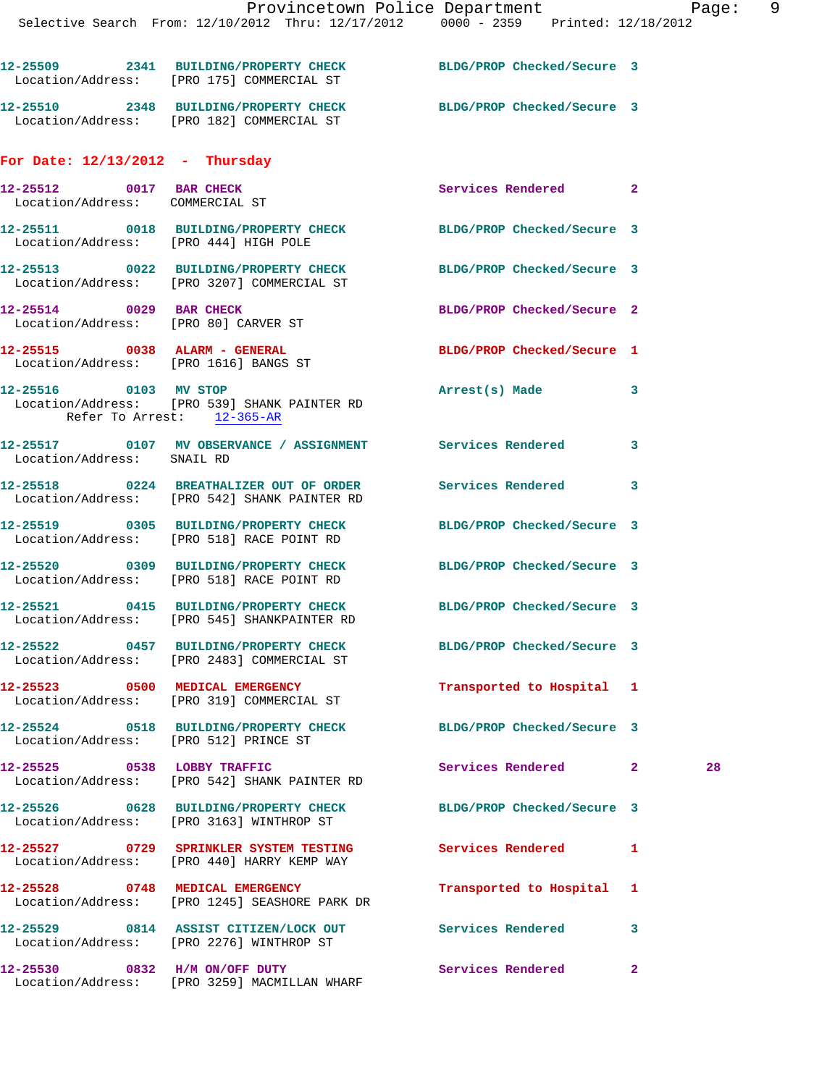|                                                                 | 12-25509 2341 BUILDING/PROPERTY CHECK<br>Location/Address: [PRO 175] COMMERCIAL ST                              | BLDG/PROP Checked/Secure 3  |    |  |
|-----------------------------------------------------------------|-----------------------------------------------------------------------------------------------------------------|-----------------------------|----|--|
|                                                                 | 12-25510 2348 BUILDING/PROPERTY CHECK BLDG/PROP Checked/Secure 3<br>Location/Address: [PRO 182] COMMERCIAL ST   |                             |    |  |
| For Date: $12/13/2012$ - Thursday                               |                                                                                                                 |                             |    |  |
| 12-25512 0017 BAR CHECK<br>Location/Address: COMMERCIAL ST      |                                                                                                                 | Services Rendered 2         |    |  |
| Location/Address: [PRO 444] HIGH POLE                           | 12-25511 0018 BUILDING/PROPERTY CHECK BLDG/PROP Checked/Secure 3                                                |                             |    |  |
|                                                                 | 12-25513 0022 BUILDING/PROPERTY CHECK BLDG/PROP Checked/Secure 3<br>Location/Address: [PRO 3207] COMMERCIAL ST  |                             |    |  |
| 12-25514 0029 BAR CHECK<br>Location/Address: [PRO 80] CARVER ST |                                                                                                                 | BLDG/PROP Checked/Secure 2  |    |  |
| 12-25515 0038 ALARM - GENERAL                                   | Location/Address: [PRO 1616] BANGS ST                                                                           | BLDG/PROP Checked/Secure 1  |    |  |
| Refer To Arrest: 12-365-AR                                      | 12-25516 0103 MV STOP<br>Location/Address: [PRO 539] SHANK PAINTER RD                                           | Arrest(s) Made              | 3  |  |
| Location/Address: SNAIL RD                                      | 12-25517 0107 MV OBSERVANCE / ASSIGNMENT Services Rendered                                                      |                             | 3  |  |
|                                                                 | 12-25518 0224 BREATHALIZER OUT OF ORDER Services Rendered<br>Location/Address: [PRO 542] SHANK PAINTER RD       |                             | 3  |  |
|                                                                 | 12-25519 0305 BUILDING/PROPERTY CHECK BLDG/PROP Checked/Secure 3<br>Location/Address: [PRO 518] RACE POINT RD   |                             |    |  |
|                                                                 | 12-25520 0309 BUILDING/PROPERTY CHECK BLDG/PROP Checked/Secure 3<br>Location/Address: [PRO 518] RACE POINT RD   |                             |    |  |
|                                                                 | 12-25521 0415 BUILDING/PROPERTY CHECK BLDG/PROP Checked/Secure 3<br>Location/Address: [PRO 545] SHANKPAINTER RD |                             |    |  |
|                                                                 | 12-25522 0457 BUILDING/PROPERTY CHECK BLDG/PROP Checked/Secure 3<br>Location/Address: [PRO 2483] COMMERCIAL ST  |                             |    |  |
|                                                                 | 12-25523 0500 MEDICAL EMERGENCY<br>Location/Address: [PRO 319] COMMERCIAL ST                                    | Transported to Hospital 1   |    |  |
| Location/Address: [PRO 512] PRINCE ST                           | 12-25524 0518 BUILDING/PROPERTY CHECK BLDG/PROP Checked/Secure 3                                                |                             |    |  |
|                                                                 | 12-25525 0538 LOBBY TRAFFIC<br>Location/Address: [PRO 542] SHANK PAINTER RD                                     | Services Rendered 2         | 28 |  |
|                                                                 | 12-25526 0628 BUILDING/PROPERTY CHECK<br>Location/Address: [PRO 3163] WINTHROP ST                               | BLDG/PROP Checked/Secure 3  |    |  |
|                                                                 | 12-25527 0729 SPRINKLER SYSTEM TESTING<br>Location/Address: [PRO 440] HARRY KEMP WAY                            | Services Rendered           | 1  |  |
|                                                                 | 12-25528 0748 MEDICAL EMERGENCY<br>Location/Address: [PRO 1245] SEASHORE PARK DR                                | Transported to Hospital 1   |    |  |
|                                                                 | 12-25529 0814 ASSIST CITIZEN/LOCK OUT Services Rendered<br>Location/Address: [PRO 2276] WINTHROP ST             |                             | 3  |  |
|                                                                 | 12-25530 0832 H/M ON/OFF DUTY<br>Location/Address: [PRO 3259] MACMILLAN WHARF                                   | <b>Services Rendered 22</b> |    |  |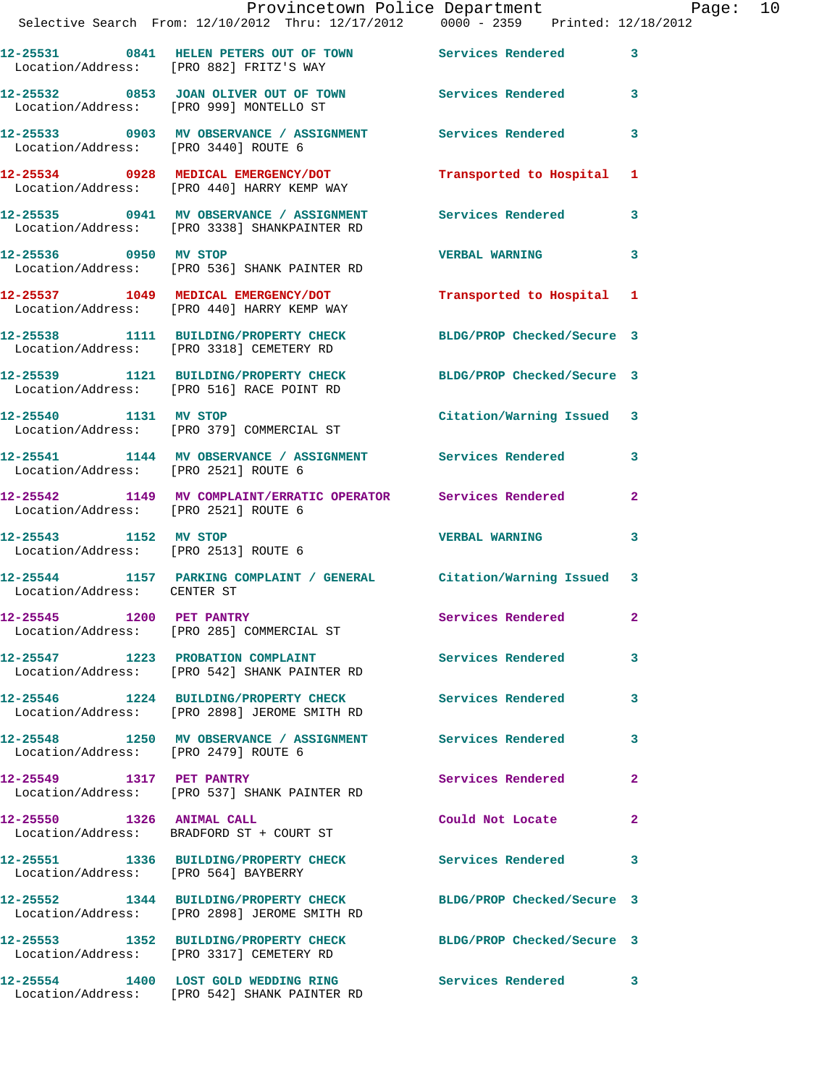|                                      | Provincetown Police Department Page: 10<br>Selective Search From: $12/10/2012$ Thru: $12/17/2012$ 0000 - 2359 Printed: $12/18/2012$ |                            |              |  |
|--------------------------------------|-------------------------------------------------------------------------------------------------------------------------------------|----------------------------|--------------|--|
|                                      | 12-25531 0841 HELEN PETERS OUT OF TOWN Services Rendered 3<br>Location/Address: [PRO 882] FRITZ'S WAY                               |                            |              |  |
|                                      | 12-25532 0853 JOAN OLIVER OUT OF TOWN Services Rendered 3<br>Location/Address: [PRO 999] MONTELLO ST                                |                            |              |  |
|                                      | 12-25533 0903 MV OBSERVANCE / ASSIGNMENT Services Rendered 3<br>Location/Address: [PRO 3440] ROUTE 6                                |                            |              |  |
|                                      | 12-25534 0928 MEDICAL EMERGENCY/DOT Transported to Hospital 1<br>Location/Address: [PRO 440] HARRY KEMP WAY                         |                            |              |  |
|                                      | 12-25535 0941 MV OBSERVANCE / ASSIGNMENT Services Rendered 3<br>Location/Address: [PRO 3338] SHANKPAINTER RD                        |                            |              |  |
|                                      | 12-25536 0950 MV STOP<br>Location/Address: [PRO 536] SHANK PAINTER RD                                                               | VERBAL WARNING 3           |              |  |
|                                      | 12-25537 1049 MEDICAL EMERGENCY/DOT Transported to Hospital 1<br>Location/Address: [PRO 440] HARRY KEMP WAY                         |                            |              |  |
|                                      | 12-25538 1111 BUILDING/PROPERTY CHECK BLDG/PROP Checked/Secure 3<br>Location/Address: [PRO 3318] CEMETERY RD                        |                            |              |  |
|                                      | 12-25539 1121 BUILDING/PROPERTY CHECK BLDG/PROP Checked/Secure 3<br>Location/Address: [PRO 516] RACE POINT RD                       |                            |              |  |
|                                      | 12-25540 1131 MV STOP<br>Location/Address: [PRO 379] COMMERCIAL ST                                                                  | Citation/Warning Issued 3  |              |  |
| Location/Address: [PRO 2521] ROUTE 6 | 12-25541 1144 MV OBSERVANCE / ASSIGNMENT Services Rendered 3                                                                        |                            |              |  |
| Location/Address: [PRO 2521] ROUTE 6 | 12-25542 1149 MV COMPLAINT/ERRATIC OPERATOR Services Rendered 2                                                                     |                            |              |  |
| 12-25543 1152 MV STOP                | Location/Address: [PRO 2513] ROUTE 6                                                                                                | <b>VERBAL WARNING</b> 3    |              |  |
| Location/Address: CENTER ST          | 12-25544 1157 PARKING COMPLAINT / GENERAL Citation/Warning Issued 3                                                                 |                            |              |  |
|                                      | 12-25545 1200 PET PANTRY Services Rendered 2<br>Location/Address: [PRO 285] COMMERCIAL ST                                           |                            |              |  |
|                                      | 12-25547 1223 PROBATION COMPLAINT Services Rendered 3<br>Location/Address: [PRO 542] SHANK PAINTER RD                               |                            |              |  |
|                                      | 12-25546 1224 BUILDING/PROPERTY CHECK Services Rendered 3<br>Location/Address: [PRO 2898] JEROME SMITH RD                           |                            |              |  |
| Location/Address: [PRO 2479] ROUTE 6 | 12-25548 1250 MV OBSERVANCE / ASSIGNMENT Services Rendered                                                                          |                            | 3            |  |
| 12-25549 1317 PET PANTRY             | Location/Address: [PRO 537] SHANK PAINTER RD                                                                                        | <b>Services Rendered</b> 2 |              |  |
|                                      | 12-25550 1326 ANIMAL CALL<br>Location/Address: BRADFORD ST + COURT ST                                                               | Could Not Locate           | $\mathbf{2}$ |  |
| Location/Address: [PRO 564] BAYBERRY | 12-25551 1336 BUILDING/PROPERTY CHECK Services Rendered 3                                                                           |                            |              |  |
|                                      | 12-25552 1344 BUILDING/PROPERTY CHECK BLDG/PROP Checked/Secure 3<br>Location/Address: [PRO 2898] JEROME SMITH RD                    |                            |              |  |
|                                      | 12-25553 1352 BUILDING/PROPERTY CHECK BLDG/PROP Checked/Secure 3<br>Location/Address: [PRO 3317] CEMETERY RD                        |                            |              |  |
|                                      | 12-25554 1400 LOST GOLD WEDDING RING Services Rendered 3<br>Location/Address: [PRO 542] SHANK PAINTER RD                            |                            |              |  |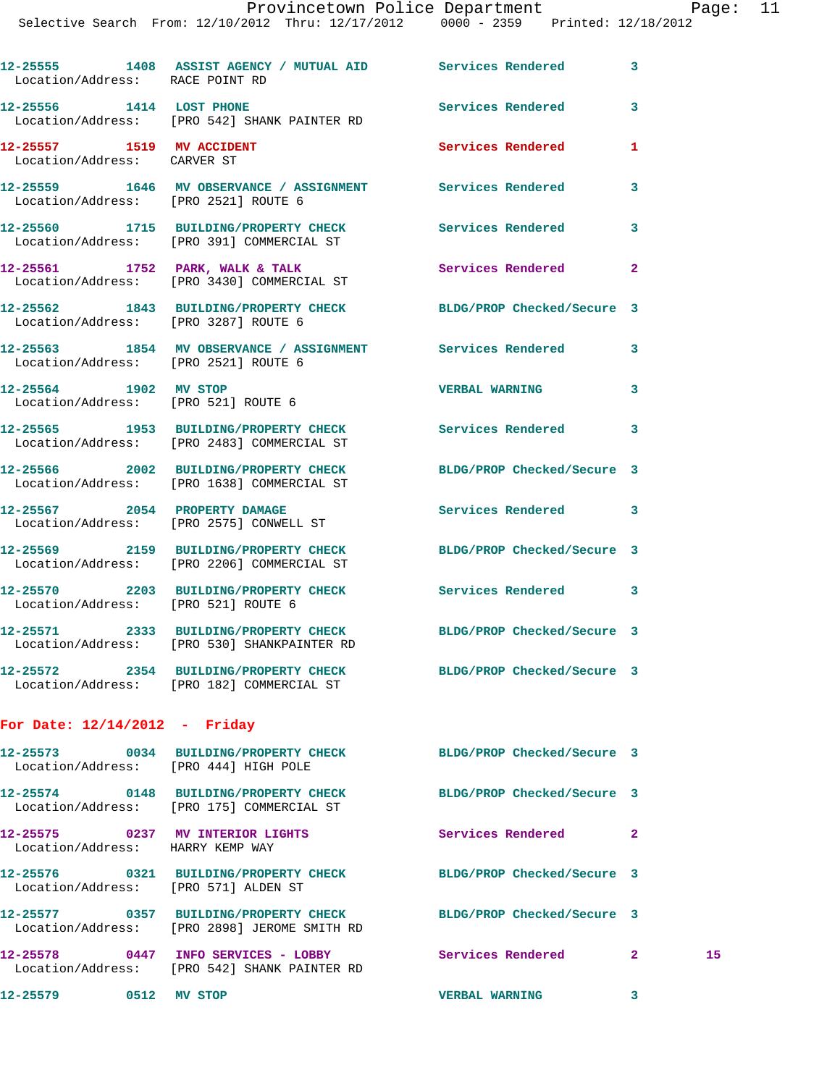| Location/Address: RACE POINT RD                                      | 12-25555 1408 ASSIST AGENCY / MUTUAL AID Services Rendered 3                                                     |                            |              |    |
|----------------------------------------------------------------------|------------------------------------------------------------------------------------------------------------------|----------------------------|--------------|----|
|                                                                      | 12-25556 1414 LOST PHONE<br>Location/Address: [PRO 542] SHANK PAINTER RD                                         | <b>Services Rendered</b>   | 3            |    |
| 12-25557 1519 MV ACCIDENT<br>Location/Address: CARVER ST             |                                                                                                                  | Services Rendered          | 1            |    |
| Location/Address: [PRO 2521] ROUTE 6                                 | 12-25559 1646 MV OBSERVANCE / ASSIGNMENT Services Rendered                                                       |                            | 3            |    |
|                                                                      | 12-25560 1715 BUILDING/PROPERTY CHECK Services Rendered 3<br>Location/Address: [PRO 391] COMMERCIAL ST           |                            |              |    |
|                                                                      | 12-25561 1752 PARK, WALK & TALK<br>Location/Address: [PRO 3430] COMMERCIAL ST                                    | Services Rendered          | $\mathbf{2}$ |    |
|                                                                      | 12-25562 1843 BUILDING/PROPERTY CHECK BLDG/PROP Checked/Secure 3<br>Location/Address: [PRO 3287] ROUTE 6         |                            |              |    |
| Location/Address: [PRO 2521] ROUTE 6                                 | 12-25563 1854 MV OBSERVANCE / ASSIGNMENT Services Rendered                                                       |                            | 3            |    |
| 12-25564 1902 MV STOP<br>Location/Address: [PRO 521] ROUTE 6         |                                                                                                                  | <b>VERBAL WARNING</b>      | 3            |    |
|                                                                      | 12-25565 1953 BUILDING/PROPERTY CHECK Services Rendered 3<br>Location/Address: [PRO 2483] COMMERCIAL ST          |                            |              |    |
|                                                                      | 12-25566 2002 BUILDING/PROPERTY CHECK BLDG/PROP Checked/Secure 3<br>Location/Address: [PRO 1638] COMMERCIAL ST   |                            |              |    |
|                                                                      | 12-25567 2054 PROPERTY DAMAGE<br>Location/Address: [PRO 2575] CONWELL ST                                         | Services Rendered 3        |              |    |
|                                                                      | 12-25569 2159 BUILDING/PROPERTY CHECK BLDG/PROP Checked/Secure 3<br>Location/Address: [PRO 2206] COMMERCIAL ST   |                            |              |    |
| Location/Address: [PRO 521] ROUTE 6                                  | 12-25570 2203 BUILDING/PROPERTY CHECK Services Rendered 3                                                        |                            |              |    |
|                                                                      | 12-25571 2333 BUILDING/PROPERTY CHECK BLDG/PROP Checked/Secure 3<br>Location/Address: [PRO 530] SHANKPAINTER RD  |                            |              |    |
|                                                                      | 12-25572 2354 BUILDING/PROPERTY CHECK<br>Location/Address: [PRO 182] COMMERCIAL ST                               | BLDG/PROP Checked/Secure 3 |              |    |
| For Date: $12/14/2012$ - Friday                                      |                                                                                                                  |                            |              |    |
| Location/Address: [PRO 444] HIGH POLE                                | 12-25573 0034 BUILDING/PROPERTY CHECK BLDG/PROP Checked/Secure 3                                                 |                            |              |    |
|                                                                      | 12-25574 0148 BUILDING/PROPERTY CHECK<br>Location/Address: [PRO 175] COMMERCIAL ST                               | BLDG/PROP Checked/Secure 3 |              |    |
| 12-25575 0237 MV INTERIOR LIGHTS<br>Location/Address: HARRY KEMP WAY |                                                                                                                  | <b>Services Rendered</b>   | $\mathbf{2}$ |    |
| Location/Address: [PRO 571] ALDEN ST                                 | 12-25576 0321 BUILDING/PROPERTY CHECK                                                                            | BLDG/PROP Checked/Secure 3 |              |    |
|                                                                      | 12-25577 0357 BUILDING/PROPERTY CHECK BLDG/PROP Checked/Secure 3<br>Location/Address: [PRO 2898] JEROME SMITH RD |                            |              |    |
|                                                                      | 12-25578 0447 INFO SERVICES - LOBBY                                                                              | Services Rendered 2        |              | 15 |

Location/Address: [PRO 542] SHANK PAINTER RD

**12-25579 0512 MV STOP VERBAL WARNING 3**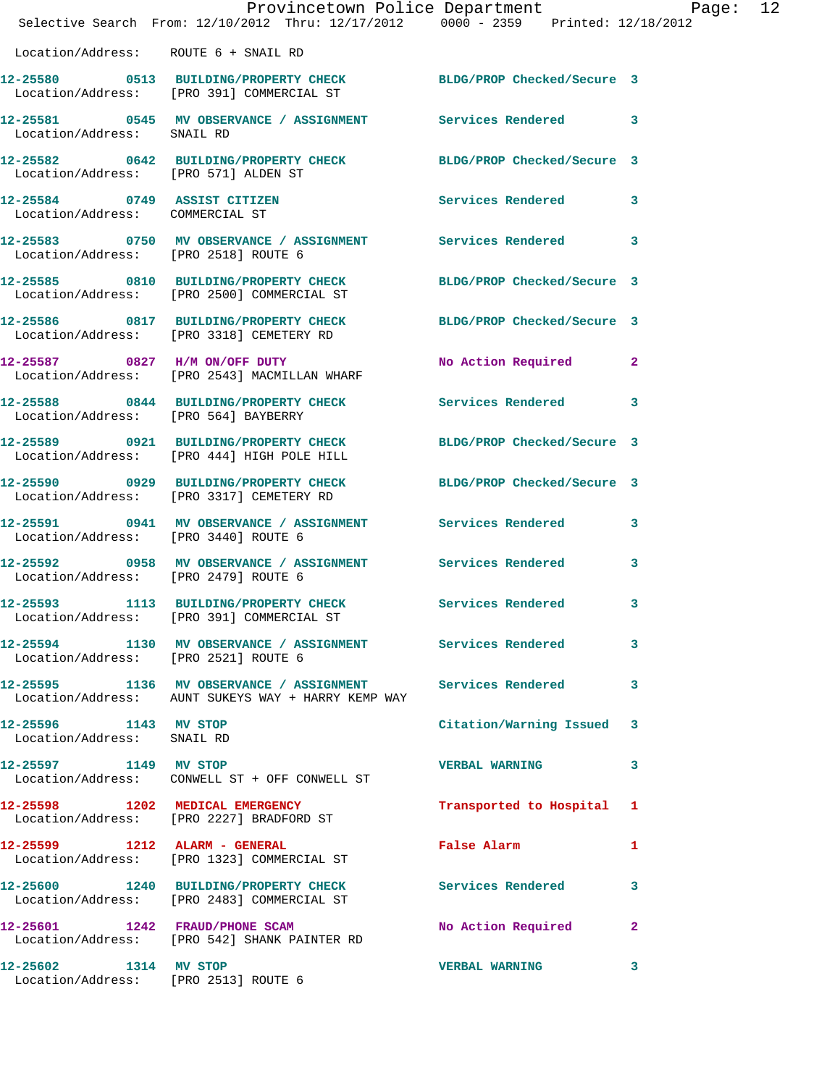|                                                     | Provincetown Police Department<br>Selective Search From: 12/10/2012 Thru: 12/17/2012 0000 - 2359 Printed: 12/18/2012 |                           |   |
|-----------------------------------------------------|----------------------------------------------------------------------------------------------------------------------|---------------------------|---|
| Location/Address: ROUTE 6 + SNAIL RD                |                                                                                                                      |                           |   |
|                                                     | 12-25580 0513 BUILDING/PROPERTY CHECK BLDG/PROP Checked/Secure 3<br>Location/Address: [PRO 391] COMMERCIAL ST        |                           |   |
| Location/Address: SNAIL RD                          | 12-25581 0545 MV OBSERVANCE / ASSIGNMENT Services Rendered 3                                                         |                           |   |
| Location/Address: [PRO 571] ALDEN ST                | 12-25582 0642 BUILDING/PROPERTY CHECK BLDG/PROP Checked/Secure 3                                                     |                           |   |
| Location/Address: COMMERCIAL ST                     | 12-25584 0749 ASSIST CITIZEN                                                                                         | Services Rendered 3       |   |
| Location/Address: [PRO 2518] ROUTE 6                | 12-25583 0750 MV OBSERVANCE / ASSIGNMENT Services Rendered 3                                                         |                           |   |
|                                                     | 12-25585 0810 BUILDING/PROPERTY CHECK BLDG/PROP Checked/Secure 3<br>Location/Address: [PRO 2500] COMMERCIAL ST       |                           |   |
|                                                     | 12-25586 0817 BUILDING/PROPERTY CHECK BLDG/PROP Checked/Secure 3<br>Location/Address: [PRO 3318] CEMETERY RD         |                           |   |
|                                                     | 12-25587 0827 H/M ON/OFF DUTY<br>Location/Address: [PRO 2543] MACMILLAN WHARF                                        | No Action Required 2      |   |
| Location/Address: [PRO 564] BAYBERRY                | 12-25588 0844 BUILDING/PROPERTY CHECK Services Rendered 3                                                            |                           |   |
|                                                     | 12-25589 0921 BUILDING/PROPERTY CHECK BLDG/PROP Checked/Secure 3<br>Location/Address: [PRO 444] HIGH POLE HILL       |                           |   |
|                                                     | 12-25590 0929 BUILDING/PROPERTY CHECK BLDG/PROP Checked/Secure 3<br>Location/Address: [PRO 3317] CEMETERY RD         |                           |   |
| Location/Address: [PRO 3440] ROUTE 6                | 12-25591 0941 MV OBSERVANCE / ASSIGNMENT Services Rendered 3                                                         |                           |   |
| Location/Address: [PRO 2479] ROUTE 6                | 12-25592 0958 MV OBSERVANCE / ASSIGNMENT Services Rendered                                                           |                           | 3 |
|                                                     | 12-25593 1113 BUILDING/PROPERTY CHECK Services Rendered 3<br>Location/Address: [PRO 391] COMMERCIAL ST               |                           |   |
| Location/Address: [PRO 2521] ROUTE 6                | 12-25594 1130 MV OBSERVANCE / ASSIGNMENT Services Rendered                                                           |                           | 3 |
|                                                     | 12-25595 1136 MV OBSERVANCE / ASSIGNMENT Services Rendered 3<br>Location/Address: AUNT SUKEYS WAY + HARRY KEMP WAY   |                           |   |
| 12-25596 1143 MV STOP<br>Location/Address: SNAIL RD |                                                                                                                      | Citation/Warning Issued 3 |   |
| 12-25597 1149 MV STOP                               | Location/Address: CONWELL ST + OFF CONWELL ST                                                                        | <b>VERBAL WARNING</b>     | 3 |
|                                                     | 12-25598 1202 MEDICAL EMERGENCY<br>Location/Address: [PRO 2227] BRADFORD ST                                          | Transported to Hospital 1 |   |
|                                                     | 12-25599 1212 ALARM - GENERAL<br>Location/Address: [PRO 1323] COMMERCIAL ST                                          | False Alarm               | 1 |
|                                                     | 12-25600 1240 BUILDING/PROPERTY CHECK Services Rendered<br>Location/Address: [PRO 2483] COMMERCIAL ST                |                           | 3 |
|                                                     | 12-25601 1242 FRAUD/PHONE SCAM<br>Location/Address: [PRO 542] SHANK PAINTER RD                                       | No Action Required 2      |   |
| 12-25602 1314 MV STOP                               | Location/Address: [PRO 2513] ROUTE 6                                                                                 | <b>VERBAL WARNING</b>     | 3 |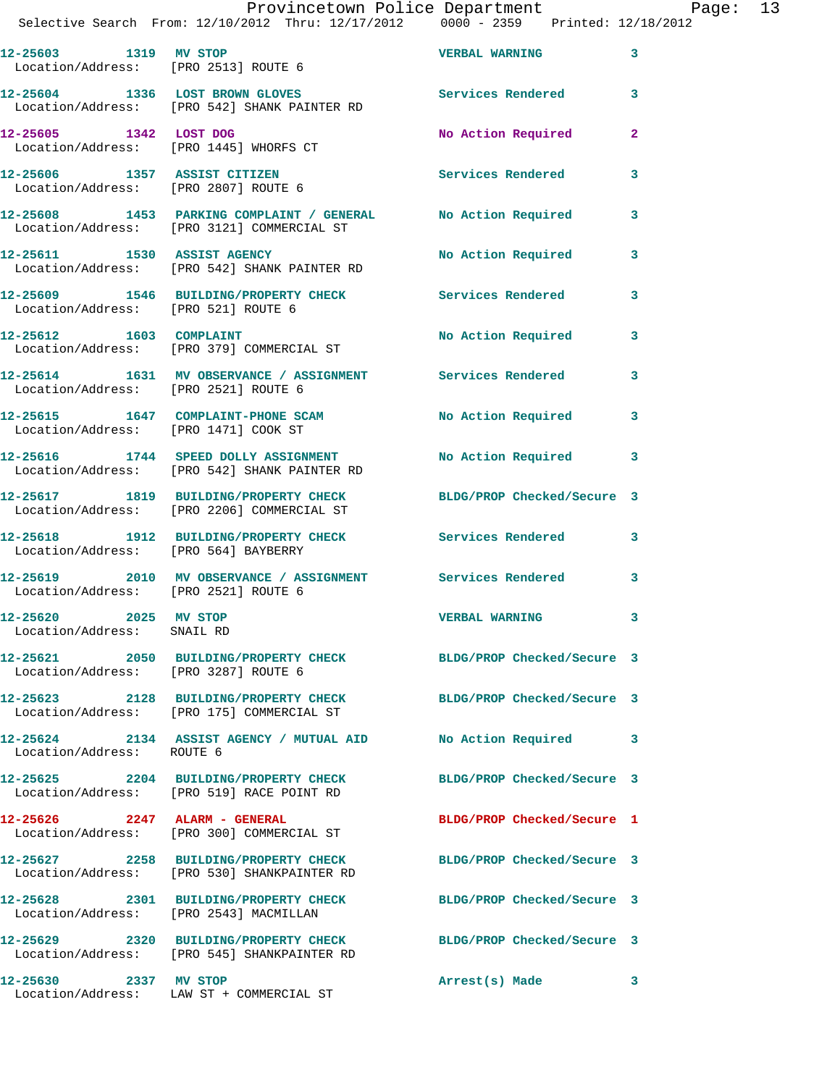| Provincetown Police Department |  | Page: | 13 |
|--------------------------------|--|-------|----|
|                                |  |       |    |

|                                                                  | Selective Search From: 12/10/2012 Thru: 12/17/2012 0000 - 2359 Printed: 12/18/2012                            |                            |              |
|------------------------------------------------------------------|---------------------------------------------------------------------------------------------------------------|----------------------------|--------------|
| 12-25603 1319 MV STOP                                            | Location/Address: [PRO 2513] ROUTE 6                                                                          | <b>VERBAL WARNING</b>      | 3            |
|                                                                  | 12-25604 1336 LOST BROWN GLOVES<br>Location/Address: [PRO 542] SHANK PAINTER RD                               | Services Rendered          | 3            |
| 12-25605 1342 LOST DOG<br>Location/Address: [PRO 1445] WHORFS CT |                                                                                                               | No Action Required         | $\mathbf{2}$ |
| Location/Address: [PRO 2807] ROUTE 6                             | 12-25606 1357 ASSIST CITIZEN                                                                                  | <b>Services Rendered</b>   | 3            |
|                                                                  | 12-25608 1453 PARKING COMPLAINT / GENERAL No Action Required<br>Location/Address: [PRO 3121] COMMERCIAL ST    |                            | 3            |
|                                                                  | 12-25611 1530 ASSIST AGENCY<br>Location/Address: [PRO 542] SHANK PAINTER RD                                   | No Action Required         | 3            |
| Location/Address: [PRO 521] ROUTE 6                              | 12-25609 1546 BUILDING/PROPERTY CHECK Services Rendered                                                       |                            | 3            |
|                                                                  | 12-25612 1603 COMPLAINT<br>Location/Address: [PRO 379] COMMERCIAL ST                                          | No Action Required         | 3            |
| Location/Address: [PRO 2521] ROUTE 6                             | 12-25614 1631 MV OBSERVANCE / ASSIGNMENT Services Rendered                                                    |                            | 3            |
| Location/Address: [PRO 1471] COOK ST                             | 12-25615 1647 COMPLAINT-PHONE SCAM                                                                            | No Action Required         | 3            |
|                                                                  | 12-25616 1744 SPEED DOLLY ASSIGNMENT<br>Location/Address: [PRO 542] SHANK PAINTER RD                          | No Action Required 3       |              |
|                                                                  | 12-25617 1819 BUILDING/PROPERTY CHECK<br>Location/Address: [PRO 2206] COMMERCIAL ST                           | BLDG/PROP Checked/Secure 3 |              |
|                                                                  | 12-25618 1912 BUILDING/PROPERTY CHECK Services Rendered<br>Location/Address: [PRO 564] BAYBERRY               |                            | 3            |
| Location/Address: [PRO 2521] ROUTE 6                             | 12-25619 2010 MV OBSERVANCE / ASSIGNMENT Services Rendered                                                    |                            | 3            |
| 12-25620 2025 MV STOP<br>Location/Address: SNAIL RD              |                                                                                                               | <b>VERBAL WARNING</b>      | 3            |
| Location/Address: [PRO 3287] ROUTE 6                             | 12-25621 2050 BUILDING/PROPERTY CHECK                                                                         | BLDG/PROP Checked/Secure 3 |              |
|                                                                  | 12-25623 2128 BUILDING/PROPERTY CHECK BLDG/PROP Checked/Secure 3<br>Location/Address: [PRO 175] COMMERCIAL ST |                            |              |
| Location/Address: ROUTE 6                                        | 12-25624 2134 ASSIST AGENCY / MUTUAL AID No Action Required                                                   |                            | 3            |
|                                                                  | 12-25625 2204 BUILDING/PROPERTY CHECK<br>Location/Address: [PRO 519] RACE POINT RD                            | BLDG/PROP Checked/Secure 3 |              |
|                                                                  | $12-25626$ 2247 ALARM - GENERAL<br>Location/Address: [PRO 300] COMMERCIAL ST                                  | BLDG/PROP Checked/Secure 1 |              |
|                                                                  | 12-25627 2258 BUILDING/PROPERTY CHECK<br>Location/Address: [PRO 530] SHANKPAINTER RD                          | BLDG/PROP Checked/Secure 3 |              |
|                                                                  | 12-25628 2301 BUILDING/PROPERTY CHECK<br>Location/Address: [PRO 2543] MACMILLAN                               | BLDG/PROP Checked/Secure 3 |              |
|                                                                  | 12-25629 2320 BUILDING/PROPERTY CHECK<br>Location/Address: [PRO 545] SHANKPAINTER RD                          | BLDG/PROP Checked/Secure 3 |              |
| 12-25630 2337 MV STOP                                            | Location/Address: LAW ST + COMMERCIAL ST                                                                      | Arrest(s) Made             | 3            |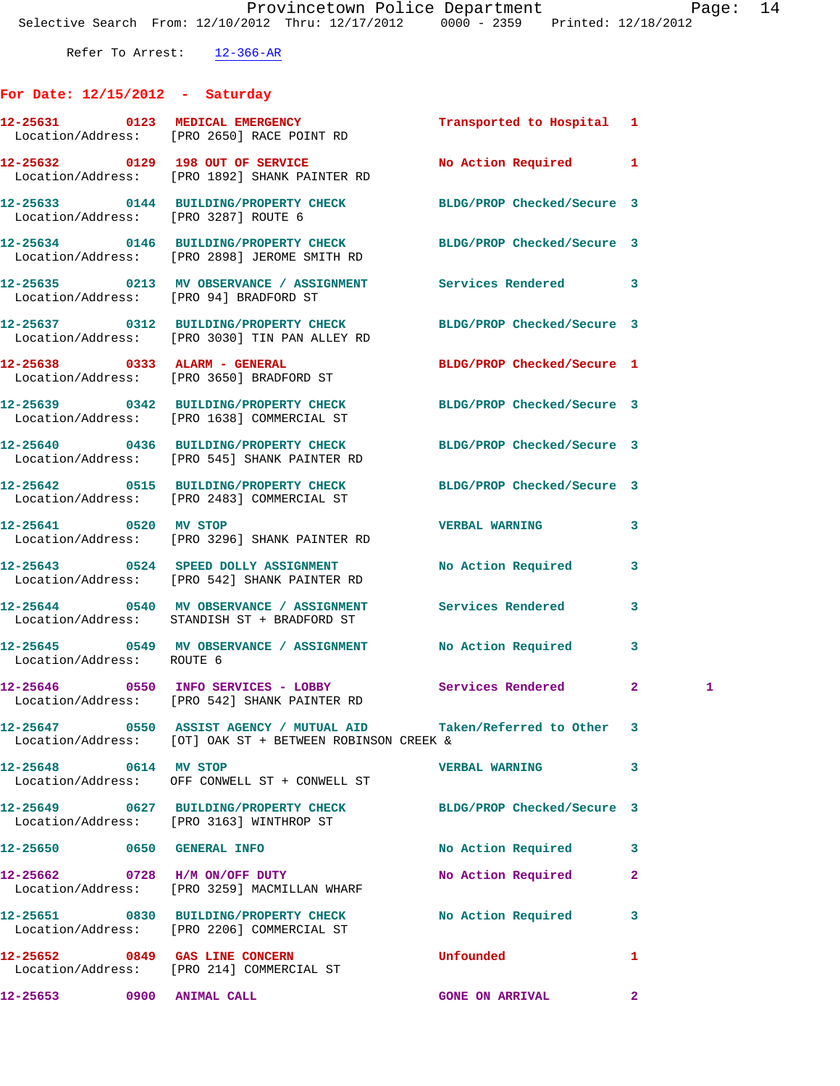Refer To Arrest: 12-366-AR

## **For Date: 12/15/2012 - Saturday**

|                                | 12-25631 0123 MEDICAL EMERGENCY<br>Location/Address: [PRO 2650] RACE POINT RD                                     | Transported to Hospital 1  |                   |
|--------------------------------|-------------------------------------------------------------------------------------------------------------------|----------------------------|-------------------|
|                                | 12-25632 0129 198 OUT OF SERVICE<br>Location/Address: [PRO 1892] SHANK PAINTER RD                                 | No Action Required         | 1                 |
|                                | 12-25633 0144 BUILDING/PROPERTY CHECK BLDG/PROP Checked/Secure 3<br>Location/Address: [PRO 3287] ROUTE 6          |                            |                   |
|                                | 12-25634 0146 BUILDING/PROPERTY CHECK<br>Location/Address: [PRO 2898] JEROME SMITH RD                             | BLDG/PROP Checked/Secure 3 |                   |
|                                | 12-25635 0213 MV OBSERVANCE / ASSIGNMENT Services Rendered<br>Location/Address: [PRO 94] BRADFORD ST              |                            | 3                 |
|                                | 12-25637 0312 BUILDING/PROPERTY CHECK BLDG/PROP Checked/Secure 3<br>Location/Address: [PRO 3030] TIN PAN ALLEY RD |                            |                   |
|                                | 12-25638 0333 ALARM - GENERAL<br>Location/Address: [PRO 3650] BRADFORD ST                                         | BLDG/PROP Checked/Secure 1 |                   |
|                                | 12-25639 0342 BUILDING/PROPERTY CHECK BLDG/PROP Checked/Secure 3<br>Location/Address: [PRO 1638] COMMERCIAL ST    |                            |                   |
|                                | 12-25640 0436 BUILDING/PROPERTY CHECK<br>Location/Address: [PRO 545] SHANK PAINTER RD                             | BLDG/PROP Checked/Secure 3 |                   |
|                                | 12-25642 0515 BUILDING/PROPERTY CHECK<br>Location/Address: [PRO 2483] COMMERCIAL ST                               | BLDG/PROP Checked/Secure 3 |                   |
|                                | 12-25641 0520 MV STOP<br>Location/Address: [PRO 3296] SHANK PAINTER RD                                            | <b>VERBAL WARNING</b>      | 3                 |
|                                | 12-25643 0524 SPEED DOLLY ASSIGNMENT<br>Location/Address: [PRO 542] SHANK PAINTER RD                              | No Action Required         | 3                 |
|                                | 12-25644 0540 MV OBSERVANCE / ASSIGNMENT Services Rendered<br>Location/Address: STANDISH ST + BRADFORD ST         |                            | 3                 |
| Location/Address: ROUTE 6      | 12-25645 0549 MV OBSERVANCE / ASSIGNMENT                                                                          | No Action Required         | 3                 |
|                                | 12-25646 0550 INFO SERVICES - LOBBY Services Rendered<br>Location/Address: [PRO 542] SHANK PAINTER RD             |                            | $\mathbf{2}$<br>1 |
|                                | Location/Address: [OT] OAK ST + BETWEEN ROBINSON CREEK &                                                          | Taken/Referred to Other 3  |                   |
| 12-25648 0614 MV STOP          | Location/Address: OFF CONWELL ST + CONWELL ST                                                                     | <b>VERBAL WARNING</b>      | 3                 |
|                                | 12-25649 0627 BUILDING/PROPERTY CHECK BLDG/PROP Checked/Secure 3<br>Location/Address: [PRO 3163] WINTHROP ST      |                            |                   |
| 12-25650 0650 GENERAL INFO     |                                                                                                                   | No Action Required         | 3                 |
| 12-25662 0728 H/M ON/OFF DUTY  | Location/Address: [PRO 3259] MACMILLAN WHARF                                                                      | No Action Required         | 2                 |
|                                | 12-25651 0830 BUILDING/PROPERTY CHECK<br>Location/Address: [PRO 2206] COMMERCIAL ST                               | No Action Required         | 3                 |
| 12-25652 0849 GAS LINE CONCERN | Location/Address: [PRO 214] COMMERCIAL ST                                                                         | Unfounded                  | 1                 |
| 12-25653 0900 ANIMAL CALL      |                                                                                                                   | <b>GONE ON ARRIVAL</b>     | 2                 |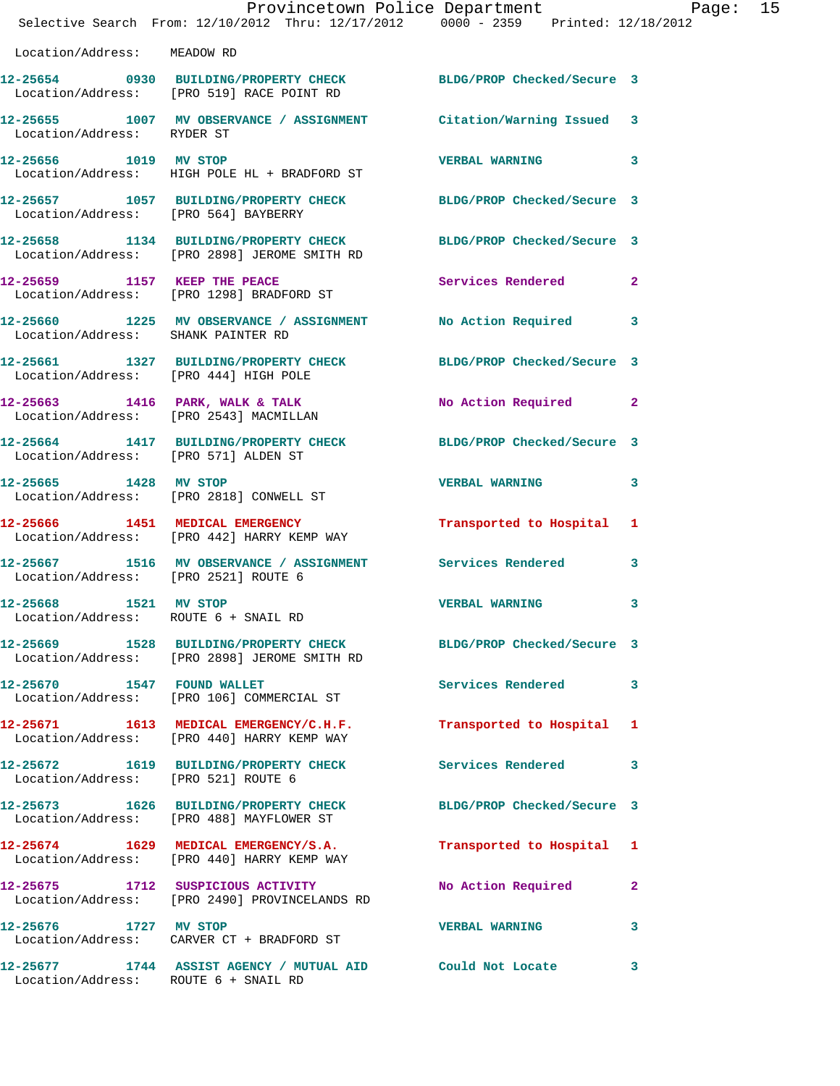|                                      | Provincetown Police Department Page: 15<br>Selective Search From: 12/10/2012 Thru: 12/17/2012 0000 - 2359 Printed: 12/18/2012 |                           |              |
|--------------------------------------|-------------------------------------------------------------------------------------------------------------------------------|---------------------------|--------------|
| Location/Address: MEADOW RD          |                                                                                                                               |                           |              |
|                                      | 12-25654 0930 BUILDING/PROPERTY CHECK BLDG/PROP Checked/Secure 3<br>Location/Address: [PRO 519] RACE POINT RD                 |                           |              |
| Location/Address: RYDER ST           | 12-25655 1007 MV OBSERVANCE / ASSIGNMENT Citation/Warning Issued 3                                                            |                           |              |
|                                      | 12-25656 1019 MV STOP<br>Location/Address: HIGH POLE HL + BRADFORD ST                                                         | VERBAL WARNING 3          |              |
|                                      | 12-25657 1057 BUILDING/PROPERTY CHECK BLDG/PROP Checked/Secure 3<br>Location/Address: [PRO 564] BAYBERRY                      |                           |              |
|                                      | 12-25658 1134 BUILDING/PROPERTY CHECK BLDG/PROP Checked/Secure 3<br>Location/Address: [PRO 2898] JEROME SMITH RD              |                           |              |
|                                      | 12-25659 1157 KEEP THE PEACE<br>Location/Address: [PRO 1298] BRADFORD ST                                                      | Services Rendered 2       |              |
| Location/Address: SHANK PAINTER RD   | 12-25660 1225 MV OBSERVANCE / ASSIGNMENT No Action Required 3                                                                 |                           |              |
|                                      | 12-25661 1327 BUILDING/PROPERTY CHECK BLDG/PROP Checked/Secure 3<br>Location/Address: [PRO 444] HIGH POLE                     |                           |              |
|                                      | 12-25663 1416 PARK, WALK & TALK<br>Location/Address: [PRO 2543] MACMILLAN                                                     | No Action Required 2      |              |
|                                      | 12-25664 1417 BUILDING/PROPERTY CHECK BLDG/PROP Checked/Secure 3<br>Location/Address: [PRO 571] ALDEN ST                      |                           |              |
| 12-25665 1428 MV STOP                | Location/Address: [PRO 2818] CONWELL ST                                                                                       | VERBAL WARNING 3          |              |
|                                      | 12-25666 1451 MEDICAL EMERGENCY<br>Location/Address: [PRO 442] HARRY KEMP WAY                                                 | Transported to Hospital 1 |              |
| Location/Address: [PRO 2521] ROUTE 6 | 12-25667 1516 MV OBSERVANCE / ASSIGNMENT Services Rendered 3                                                                  |                           |              |
| 12-25668 1521 MV STOP                | Location/Address: ROUTE 6 + SNAIL RD                                                                                          | <b>VERBAL WARNING</b>     | 3            |
|                                      | 12-25669 1528 BUILDING/PROPERTY CHECK BLDG/PROP Checked/Secure 3<br>Location/Address: [PRO 2898] JEROME SMITH RD              |                           |              |
|                                      | 12-25670 1547 FOUND WALLET<br>Location/Address: [PRO 106] COMMERCIAL ST                                                       | Services Rendered 3       |              |
|                                      | 12-25671 1613 MEDICAL EMERGENCY/C.H.F. Transported to Hospital 1<br>Location/Address: [PRO 440] HARRY KEMP WAY                |                           |              |
| Location/Address: [PRO 521] ROUTE 6  | 12-25672 1619 BUILDING/PROPERTY CHECK Services Rendered 3                                                                     |                           |              |
|                                      | 12-25673 1626 BUILDING/PROPERTY CHECK BLDG/PROP Checked/Secure 3<br>Location/Address: [PRO 488] MAYFLOWER ST                  |                           |              |
|                                      | 12-25674 1629 MEDICAL EMERGENCY/S.A.<br>Location/Address: [PRO 440] HARRY KEMP WAY                                            | Transported to Hospital 1 |              |
|                                      | 12-25675 1712 SUSPICIOUS ACTIVITY<br>Location/Address: [PRO 2490] PROVINCELANDS RD                                            | No Action Required 2      |              |
|                                      | 12-25676 1727 MV STOP<br>Location/Address: CARVER CT + BRADFORD ST                                                            | <b>VERBAL WARNING</b>     | 3            |
| Location/Address: ROUTE 6 + SNAIL RD | 12-25677 1744 ASSIST AGENCY / MUTUAL AID Could Not Locate                                                                     |                           | $\mathbf{3}$ |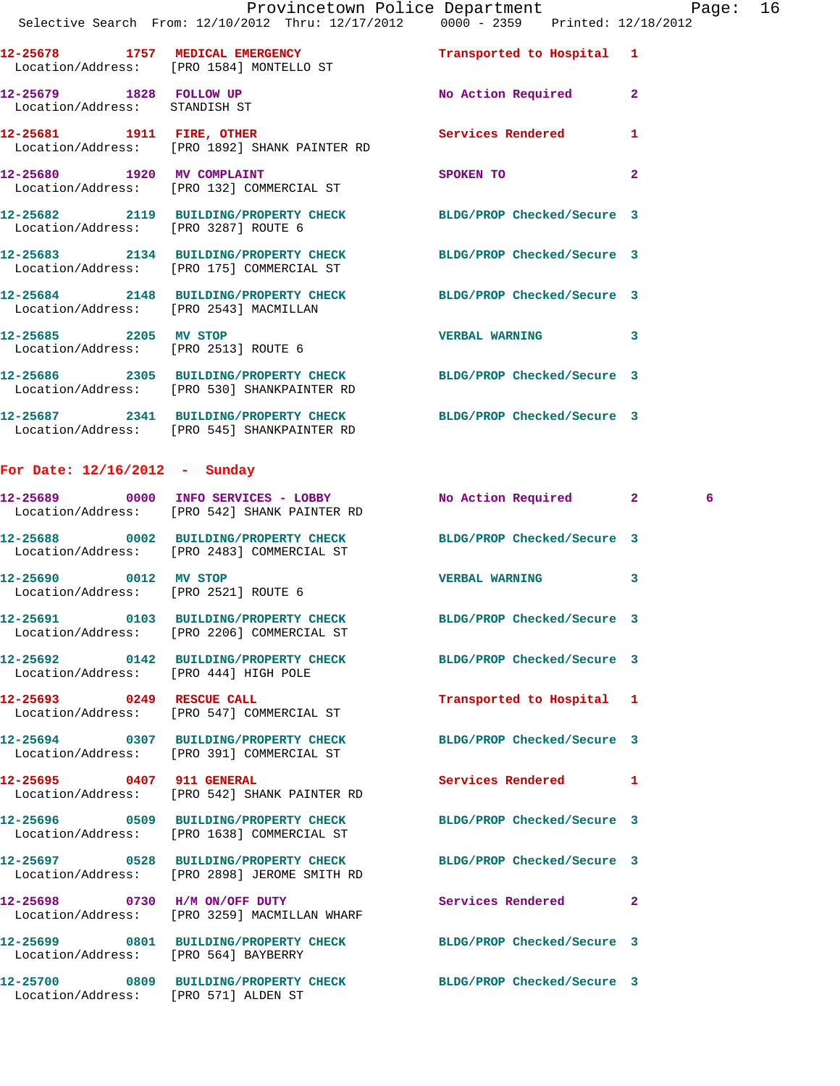|                                                          | Provincetown Police Department                                                                                  |                      | Page: 16       |  |
|----------------------------------------------------------|-----------------------------------------------------------------------------------------------------------------|----------------------|----------------|--|
|                                                          | Selective Search From: 12/10/2012 Thru: 12/17/2012 0000 - 2359 Printed: 12/18/2012                              |                      |                |  |
|                                                          | 12-25678 1757 MEDICAL EMERGENCY Transported to Hospital 1<br>Location/Address: [PRO 1584] MONTELLO ST           |                      |                |  |
| 12-25679 1828 FOLLOW UP<br>Location/Address: STANDISH ST |                                                                                                                 | No Action Required 2 |                |  |
|                                                          | 12-25681 1911 FIRE, OTHER<br>Location/Address: [PRO 1892] SHANK PAINTER RD                                      | Services Rendered 1  |                |  |
|                                                          | 12-25680 1920 MV COMPLAINT<br>Location/Address: [PRO 132] COMMERCIAL ST                                         | SPOKEN TO            | $\overline{a}$ |  |
| Location/Address: [PRO 3287] ROUTE 6                     | 12-25682 2119 BUILDING/PROPERTY CHECK BLDG/PROP Checked/Secure 3                                                |                      |                |  |
|                                                          | 12-25683 2134 BUILDING/PROPERTY CHECK BLDG/PROP Checked/Secure 3<br>Location/Address: [PRO 175] COMMERCIAL ST   |                      |                |  |
| Location/Address: [PRO 2543] MACMILLAN                   | 12-25684 2148 BUILDING/PROPERTY CHECK BLDG/PROP Checked/Secure 3                                                |                      |                |  |
| Location/Address: [PRO 2513] ROUTE 6                     | 12-25685 2205 MV STOP                                                                                           | VERBAL WARNING 3     |                |  |
|                                                          | 12-25686 2305 BUILDING/PROPERTY CHECK BLDG/PROP Checked/Secure 3<br>Location/Address: [PRO 530] SHANKPAINTER RD |                      |                |  |
|                                                          | 12-25687 2341 BUILDING/PROPERTY CHECK BLDG/PROP Checked/Secure 3<br>Location/Address: [PRO 545] SHANKPAINTER RD |                      |                |  |
| For Date: $12/16/2012$ - Sunday                          |                                                                                                                 |                      |                |  |

## **12-25689 0000 INFO SERVICES - LOBBY No Action Required 2 6**  Location/Address: [PRO 542] SHANK PAINTER RD **12-25688 0002 BUILDING/PROPERTY CHECK BLDG/PROP Checked/Secure 3**  Location/Address: [PRO 2483] COMMERCIAL ST **12-25690 0012 MV STOP VERBAL WARNING 3**  Location/Address: [PRO 2521] ROUTE 6 **12-25691 0103 BUILDING/PROPERTY CHECK BLDG/PROP Checked/Secure 3**  Location/Address: [PRO 2206] COMMERCIAL ST **12-25692 0142 BUILDING/PROPERTY CHECK BLDG/PROP Checked/Secure 3**  Location/Address: [PRO 444] HIGH POLE **12-25693 0249 RESCUE CALL Transported to Hospital 1**  Location/Address: [PRO 547] COMMERCIAL ST **12-25694 0307 BUILDING/PROPERTY CHECK BLDG/PROP Checked/Secure 3**  Location/Address: [PRO 391] COMMERCIAL ST **12-25695 0407 911 GENERAL Services Rendered 1**  Location/Address: [PRO 542] SHANK PAINTER RD **12-25696 0509 BUILDING/PROPERTY CHECK BLDG/PROP Checked/Secure 3**  Location/Address: [PRO 1638] COMMERCIAL ST **12-25697 0528 BUILDING/PROPERTY CHECK BLDG/PROP Checked/Secure 3**  Location/Address: [PRO 2898] JEROME SMITH RD **12-25698 0730 H/M ON/OFF DUTY Services Rendered 2**  Location/Address: [PRO 3259] MACMILLAN WHARF **12-25699 0801 BUILDING/PROPERTY CHECK BLDG/PROP Checked/Secure 3**  Location/Address: [PRO 564] BAYBERRY **12-25700 0809 BUILDING/PROPERTY CHECK BLDG/PROP Checked/Secure 3**

Location/Address: [PRO 571] ALDEN ST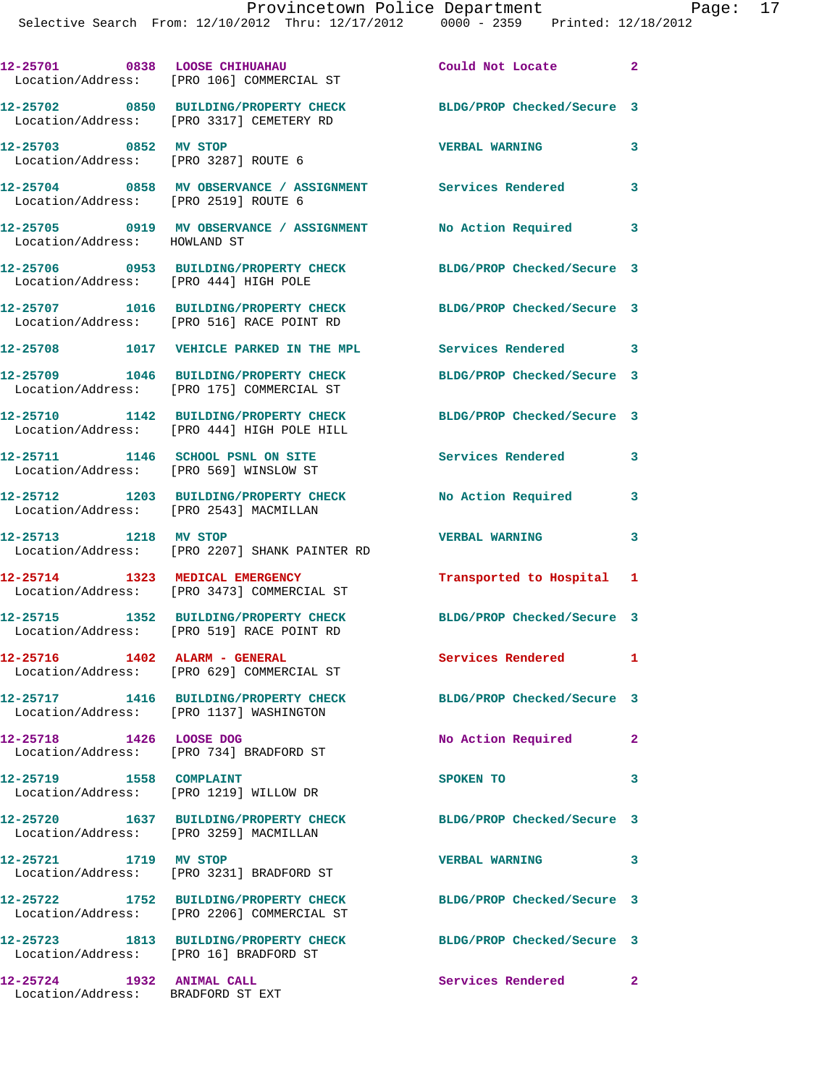|                                                                | 12-25701 0838 LOOSE CHIHUAHAU<br>Location/Address: [PRO 106] COMMERCIAL ST          | Could Not Locate 2         |              |
|----------------------------------------------------------------|-------------------------------------------------------------------------------------|----------------------------|--------------|
|                                                                | 12-25702 0850 BUILDING/PROPERTY CHECK<br>Location/Address: [PRO 3317] CEMETERY RD   | BLDG/PROP Checked/Secure 3 |              |
| 12-25703 0852 MV STOP<br>Location/Address: [PRO 3287] ROUTE 6  |                                                                                     | <b>VERBAL WARNING</b>      | 3            |
| Location/Address: [PRO 2519] ROUTE 6                           | 12-25704 0858 MV OBSERVANCE / ASSIGNMENT Services Rendered                          |                            | 3            |
|                                                                |                                                                                     | No Action Required         | 3            |
| Location/Address: [PRO 444] HIGH POLE                          | 12-25706 0953 BUILDING/PROPERTY CHECK                                               | BLDG/PROP Checked/Secure 3 |              |
|                                                                | 12-25707 1016 BUILDING/PROPERTY CHECK<br>Location/Address: [PRO 516] RACE POINT RD  | BLDG/PROP Checked/Secure 3 |              |
|                                                                | 12-25708 1017 VEHICLE PARKED IN THE MPL                                             | Services Rendered 3        |              |
|                                                                | 12-25709 1046 BUILDING/PROPERTY CHECK<br>Location/Address: [PRO 175] COMMERCIAL ST  | BLDG/PROP Checked/Secure 3 |              |
|                                                                | 12-25710 1142 BUILDING/PROPERTY CHECK<br>Location/Address: [PRO 444] HIGH POLE HILL | BLDG/PROP Checked/Secure 3 |              |
| Location/Address: [PRO 569] WINSLOW ST                         | 12-25711 1146 SCHOOL PSNL ON SITE                                                   | Services Rendered          | 3            |
| Location/Address: [PRO 2543] MACMILLAN                         | 12-25712 1203 BUILDING/PROPERTY CHECK                                               | No Action Required         | 3            |
| 12-25713 1218 MV STOP                                          | Location/Address: [PRO 2207] SHANK PAINTER RD                                       | <b>VERBAL WARNING</b>      | 3            |
|                                                                | 12-25714 1323 MEDICAL EMERGENCY<br>Location/Address: [PRO 3473] COMMERCIAL ST       | Transported to Hospital 1  |              |
|                                                                | 12-25715 1352 BUILDING/PROPERTY CHECK<br>Location/Address: [PRO 519] RACE POINT RD  | BLDG/PROP Checked/Secure 3 |              |
| 12-25716                                                       | 1402 ALARM - GENERAL<br>Location/Address: [PRO 629] COMMERCIAL ST                   | Services Rendered          | $\mathbf{I}$ |
|                                                                | 12-25717 1416 BUILDING/PROPERTY CHECK<br>Location/Address: [PRO 1137] WASHINGTON    | BLDG/PROP Checked/Secure 3 |              |
| 12-25718 1426 LOOSE DOG                                        | Location/Address: [PRO 734] BRADFORD ST                                             | No Action Required         | $\mathbf{2}$ |
| 12-25719 1558 COMPLAINT                                        | Location/Address: [PRO 1219] WILLOW DR                                              | SPOKEN TO                  | 3            |
| Location/Address: [PRO 3259] MACMILLAN                         | 12-25720 1637 BUILDING/PROPERTY CHECK                                               | BLDG/PROP Checked/Secure 3 |              |
| 12-25721 1719 MV STOP                                          | Location/Address: [PRO 3231] BRADFORD ST                                            | <b>VERBAL WARNING</b>      | 3            |
|                                                                | 12-25722 1752 BUILDING/PROPERTY CHECK<br>Location/Address: [PRO 2206] COMMERCIAL ST | BLDG/PROP Checked/Secure 3 |              |
| Location/Address: [PRO 16] BRADFORD ST                         | 12-25723 1813 BUILDING/PROPERTY CHECK                                               | BLDG/PROP Checked/Secure 3 |              |
| 12-25724 1932 ANIMAL CALL<br>Location/Address: BRADFORD ST EXT |                                                                                     | Services Rendered 2        |              |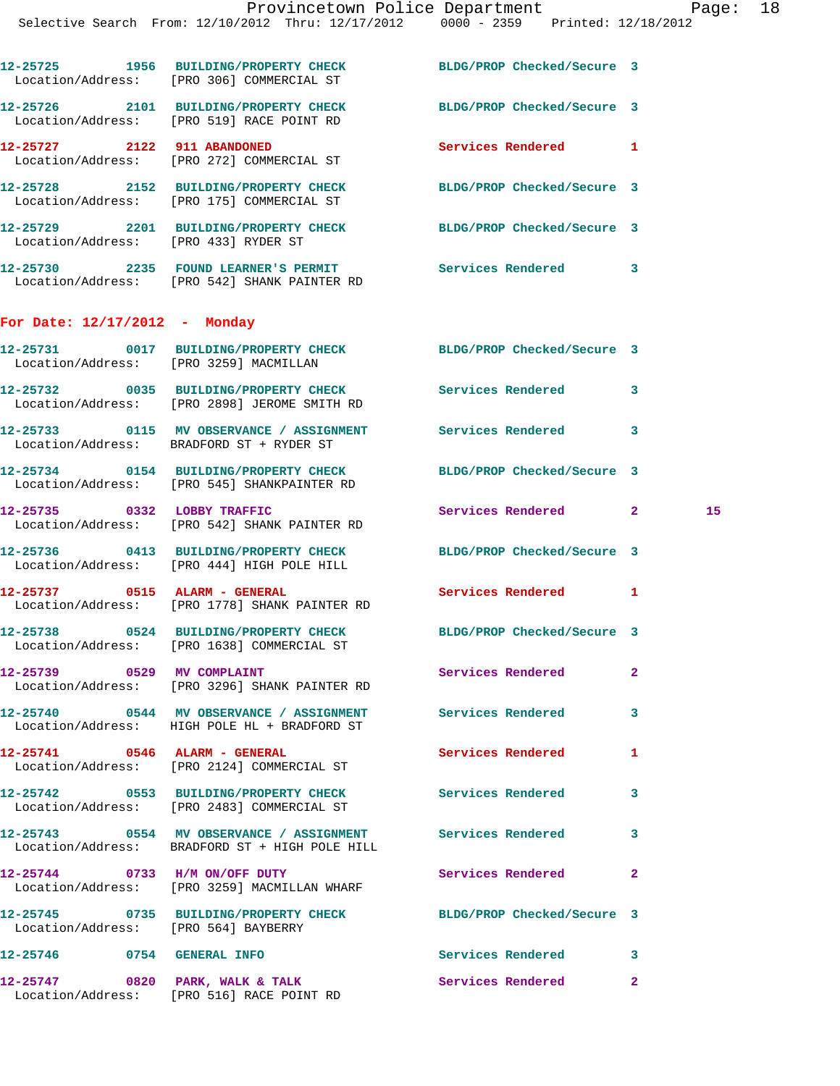|                                      | 12-25725 1956 BUILDING/PROPERTY CHECK<br>Location/Address: [PRO 306] COMMERCIAL ST                           | BLDG/PROP Checked/Secure 3 |                    |  |
|--------------------------------------|--------------------------------------------------------------------------------------------------------------|----------------------------|--------------------|--|
|                                      | 12-25726 2101 BUILDING/PROPERTY CHECK<br>Location/Address: [PRO 519] RACE POINT RD                           | BLDG/PROP Checked/Secure 3 |                    |  |
|                                      | 12-25727 2122 911 ABANDONED<br>Location/Address: [PRO 272] COMMERCIAL ST                                     | <b>Services Rendered</b>   | 1                  |  |
|                                      | 12-25728 2152 BUILDING/PROPERTY CHECK<br>Location/Address: [PRO 175] COMMERCIAL ST                           | BLDG/PROP Checked/Secure 3 |                    |  |
| Location/Address: [PRO 433] RYDER ST | 12-25729 2201 BUILDING/PROPERTY CHECK BLDG/PROP Checked/Secure 3                                             |                            |                    |  |
|                                      | 12-25730 2235 FOUND LEARNER'S PERMIT Services Rendered 3<br>Location/Address: [PRO 542] SHANK PAINTER RD     |                            |                    |  |
| For Date: $12/17/2012$ - Monday      |                                                                                                              |                            |                    |  |
|                                      | 12-25731 0017 BUILDING/PROPERTY CHECK BLDG/PROP Checked/Secure 3<br>Location/Address: [PRO 3259] MACMILLAN   |                            |                    |  |
|                                      | 12-25732 0035 BUILDING/PROPERTY CHECK<br>Location/Address: [PRO 2898] JEROME SMITH RD                        | <b>Services Rendered</b>   | 3                  |  |
|                                      | 12-25733 0115 MV OBSERVANCE / ASSIGNMENT Services Rendered<br>Location/Address: BRADFORD ST + RYDER ST       |                            | 3                  |  |
|                                      | 12-25734 0154 BUILDING/PROPERTY CHECK<br>Location/Address: [PRO 545] SHANKPAINTER RD                         | BLDG/PROP Checked/Secure 3 |                    |  |
|                                      | 12-25735 0332 LOBBY TRAFFIC<br>Location/Address: [PRO 542] SHANK PAINTER RD                                  | Services Rendered          | 15<br>$\mathbf{2}$ |  |
|                                      | 12-25736 0413 BUILDING/PROPERTY CHECK<br>Location/Address: [PRO 444] HIGH POLE HILL                          | BLDG/PROP Checked/Secure 3 |                    |  |
|                                      | 12-25737 0515 ALARM - GENERAL<br>Location/Address: [PRO 1778] SHANK PAINTER RD                               | <b>Services Rendered</b>   | 1                  |  |
|                                      | 12-25738 0524 BUILDING/PROPERTY CHECK<br>Location/Address: [PRO 1638] COMMERCIAL ST                          | BLDG/PROP Checked/Secure 3 |                    |  |
| 12-25739 0529 MV COMPLAINT           | Location/Address: [PRO 3296] SHANK PAINTER RD                                                                | <b>Services Rendered</b> 2 |                    |  |
|                                      | 12-25740 0544 MV OBSERVANCE / ASSIGNMENT Services Rendered<br>Location/Address: HIGH POLE HL + BRADFORD ST   |                            | 3                  |  |
| 12-25741 0546 ALARM - GENERAL        | Location/Address: [PRO 2124] COMMERCIAL ST                                                                   | Services Rendered          | $\mathbf{1}$       |  |
|                                      | 12-25742 0553 BUILDING/PROPERTY CHECK<br>Location/Address: [PRO 2483] COMMERCIAL ST                          | <b>Services Rendered</b>   | 3                  |  |
|                                      | 12-25743 0554 MV OBSERVANCE / ASSIGNMENT Services Rendered<br>Location/Address: BRADFORD ST + HIGH POLE HILL |                            | 3                  |  |
| 12-25744 0733 H/M ON/OFF DUTY        | Location/Address: [PRO 3259] MACMILLAN WHARF                                                                 | Services Rendered          | $\overline{2}$     |  |
| Location/Address: [PRO 564] BAYBERRY | 12-25745 0735 BUILDING/PROPERTY CHECK                                                                        | BLDG/PROP Checked/Secure 3 |                    |  |
| 12-25746 0754 GENERAL INFO           |                                                                                                              | <b>Services Rendered</b> 3 |                    |  |
|                                      | 12-25747 0820 PARK, WALK & TALK<br>Location/Address: [PRO 516] RACE POINT RD                                 | <b>Services Rendered</b>   | $\mathbf{2}$       |  |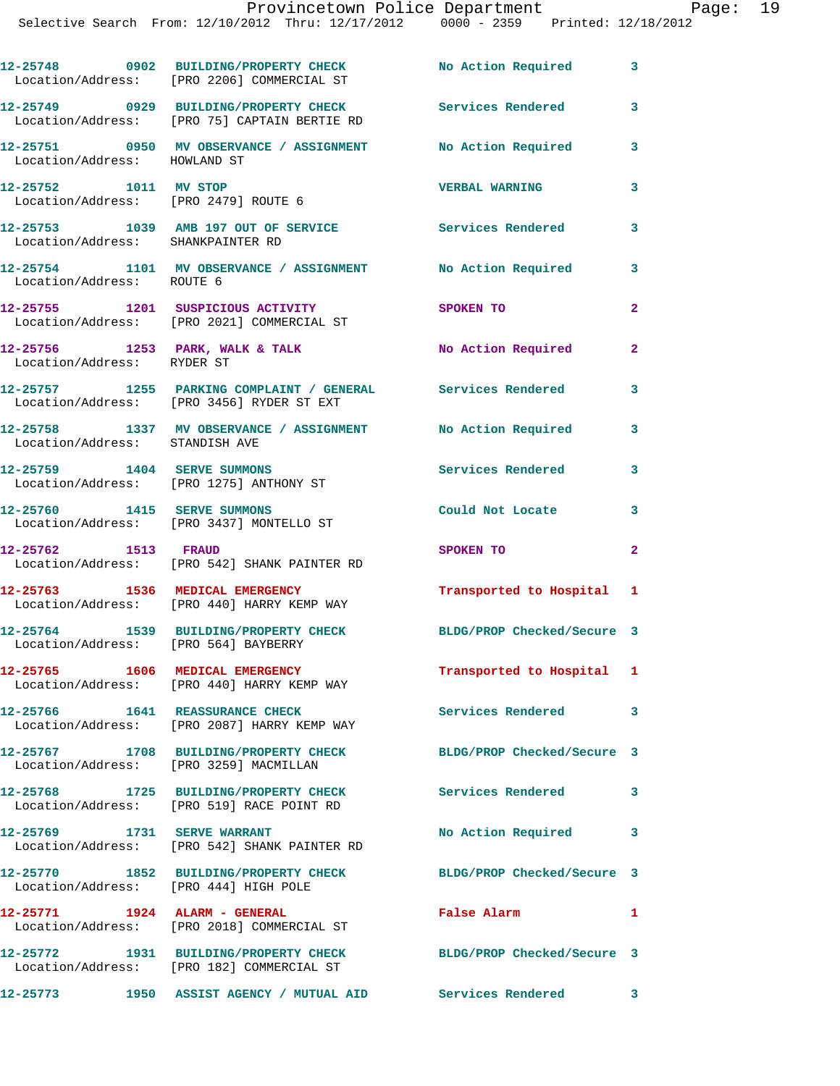|                                   | 12-25748 0902 BUILDING/PROPERTY CHECK No Action Required<br>Location/Address: [PRO 2206] COMMERCIAL ST     |                            | $\overline{\mathbf{3}}$ |
|-----------------------------------|------------------------------------------------------------------------------------------------------------|----------------------------|-------------------------|
|                                   | 12-25749 0929 BUILDING/PROPERTY CHECK<br>Location/Address: [PRO 75] CAPTAIN BERTIE RD                      | <b>Services Rendered</b>   | 3                       |
| Location/Address: HOWLAND ST      | 12-25751 0950 MV OBSERVANCE / ASSIGNMENT No Action Required                                                |                            | 3                       |
| 12-25752 1011 MV STOP             | Location/Address: [PRO 2479] ROUTE 6                                                                       | <b>VERBAL WARNING</b>      | 3                       |
| Location/Address: SHANKPAINTER RD | 12-25753 1039 AMB 197 OUT OF SERVICE Services Rendered                                                     |                            | 3                       |
| Location/Address: ROUTE 6         | 12-25754 1101 MV OBSERVANCE / ASSIGNMENT                                                                   | No Action Required         | $\mathbf{3}$            |
|                                   | 12-25755 1201 SUSPICIOUS ACTIVITY<br>Location/Address: [PRO 2021] COMMERCIAL ST                            | SPOKEN TO                  | $\mathbf{2}$            |
| Location/Address: RYDER ST        | $12-25756$ 1253 PARK, WALK & TALK                                                                          | No Action Required         | $\overline{a}$          |
|                                   | 12-25757 1255 PARKING COMPLAINT / GENERAL Services Rendered<br>Location/Address: [PRO 3456] RYDER ST EXT   |                            | 3                       |
| Location/Address: STANDISH AVE    | 12-25758 1337 MV OBSERVANCE / ASSIGNMENT                                                                   | No Action Required         | $\mathbf{3}$            |
|                                   | 12-25759 1404 SERVE SUMMONS<br>Location/Address: [PRO 1275] ANTHONY ST                                     | Services Rendered          | 3                       |
| 12-25760 1415 SERVE SUMMONS       | Location/Address: [PRO 3437] MONTELLO ST                                                                   | Could Not Locate           | 3                       |
| 12-25762 1513 FRAUD               | Location/Address: [PRO 542] SHANK PAINTER RD                                                               | SPOKEN TO                  | $\overline{a}$          |
|                                   | 12-25763 1536 MEDICAL EMERGENCY<br>Location/Address: [PRO 440] HARRY KEMP WAY                              | Transported to Hospital 1  |                         |
|                                   | 12-25764 1539 BUILDING/PROPERTY CHECK<br>Location/Address: [PRO 564] BAYBERRY                              | BLDG/PROP Checked/Secure 3 |                         |
|                                   | 12-25765 1606 MEDICAL EMERGENCY<br>Location/Address: [PRO 440] HARRY KEMP WAY                              | Transported to Hospital 1  |                         |
|                                   | 12-25766 1641 REASSURANCE CHECK<br>Location/Address: [PRO 2087] HARRY KEMP WAY                             | Services Rendered 3        |                         |
|                                   | 12-25767 1708 BUILDING/PROPERTY CHECK BLDG/PROP Checked/Secure 3<br>Location/Address: [PRO 3259] MACMILLAN |                            |                         |
|                                   | 12-25768 1725 BUILDING/PROPERTY CHECK<br>Location/Address: [PRO 519] RACE POINT RD                         | <b>Services Rendered</b>   | $\overline{\mathbf{3}}$ |
| 12-25769 1731 SERVE WARRANT       | Location/Address: [PRO 542] SHANK PAINTER RD                                                               | No Action Required 3       |                         |
|                                   | 12-25770 1852 BUILDING/PROPERTY CHECK<br>Location/Address: [PRO 444] HIGH POLE                             | BLDG/PROP Checked/Secure 3 |                         |
| 12-25771 1924 ALARM - GENERAL     | Location/Address: [PRO 2018] COMMERCIAL ST                                                                 | False Alarm                | $\mathbf{1}$            |
|                                   | 12-25772 1931 BUILDING/PROPERTY CHECK<br>Location/Address: [PRO 182] COMMERCIAL ST                         | BLDG/PROP Checked/Secure 3 |                         |
|                                   | 12-25773 1950 ASSIST AGENCY / MUTUAL AID                                                                   | Services Rendered 3        |                         |